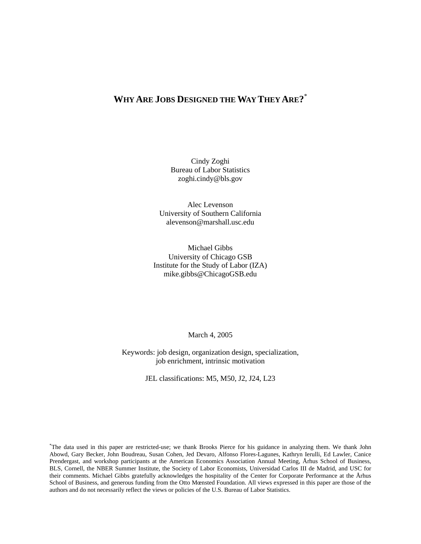# **WHY ARE JOBS DESIGNED THE WAY THEY ARE?** \*

Cindy Zoghi Bureau of Labor Statistics zoghi.cindy@bls.gov

Alec Levenson University of Southern California alevenson@marshall.usc.edu

Michael Gibbs University of Chicago GSB Institute for the Study of Labor (IZA) mike.gibbs@ChicagoGSB.edu

March 4, 2005

Keywords: job design, organization design, specialization, job enrichment, intrinsic motivation

JEL classifications: M5, M50, J2, J24, L23

\*The data used in this paper are restricted-use; we thank Brooks Pierce for his guidance in analyzing them. We thank John Abowd, Gary Becker, John Boudreau, Susan Cohen, Jed Devaro, Alfonso Flores-Lagunes, Kathryn Ierulli, Ed Lawler, Canice Prendergast, and workshop participants at the American Economics Association Annual Meeting, Århus School of Business, BLS, Cornell, the NBER Summer Institute, the Society of Labor Economists, Universidad Carlos III de Madrid, and USC for their comments. Michael Gibbs gratefully acknowledges the hospitality of the Center for Corporate Performance at the Århus School of Business, and generous funding from the Otto Mœnsted Foundation. All views expressed in this paper are those of the authors and do not necessarily reflect the views or policies of the U.S. Bureau of Labor Statistics.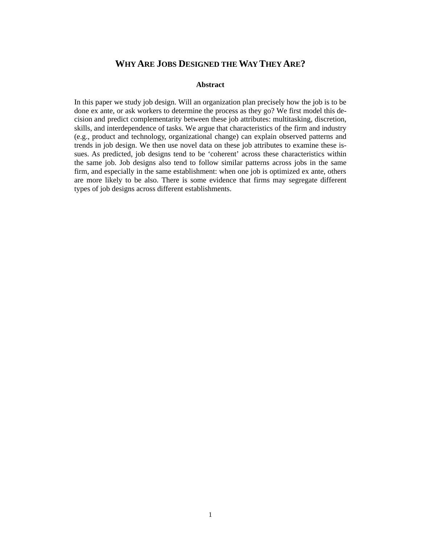## **WHY ARE JOBS DESIGNED THE WAY THEY ARE?**

### **Abstract**

In this paper we study job design. Will an organization plan precisely how the job is to be done ex ante, or ask workers to determine the process as they go? We first model this decision and predict complementarity between these job attributes: multitasking, discretion, skills, and interdependence of tasks. We argue that characteristics of the firm and industry (e.g., product and technology, organizational change) can explain observed patterns and trends in job design. We then use novel data on these job attributes to examine these issues. As predicted, job designs tend to be 'coherent' across these characteristics within the same job. Job designs also tend to follow similar patterns across jobs in the same firm, and especially in the same establishment: when one job is optimized ex ante, others are more likely to be also. There is some evidence that firms may segregate different types of job designs across different establishments.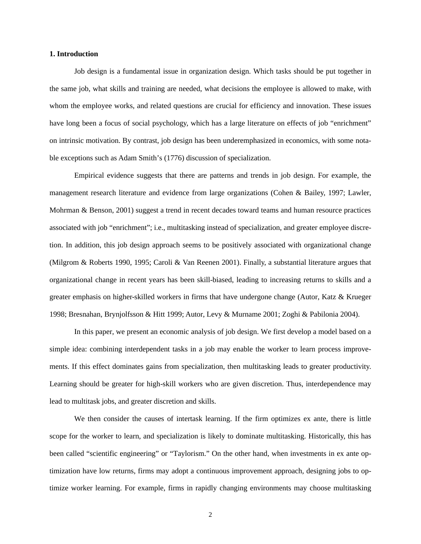#### **1. Introduction**

Job design is a fundamental issue in organization design. Which tasks should be put together in the same job, what skills and training are needed, what decisions the employee is allowed to make, with whom the employee works, and related questions are crucial for efficiency and innovation. These issues have long been a focus of social psychology, which has a large literature on effects of job "enrichment" on intrinsic motivation. By contrast, job design has been underemphasized in economics, with some notable exceptions such as Adam Smith's (1776) discussion of specialization.

Empirical evidence suggests that there are patterns and trends in job design. For example, the management research literature and evidence from large organizations (Cohen & Bailey, 1997; Lawler, Mohrman & Benson, 2001) suggest a trend in recent decades toward teams and human resource practices associated with job "enrichment"; i.e., multitasking instead of specialization, and greater employee discretion. In addition, this job design approach seems to be positively associated with organizational change (Milgrom & Roberts 1990, 1995; Caroli & Van Reenen 2001). Finally, a substantial literature argues that organizational change in recent years has been skill-biased, leading to increasing returns to skills and a greater emphasis on higher-skilled workers in firms that have undergone change (Autor, Katz & Krueger 1998; Bresnahan, Brynjolfsson & Hitt 1999; Autor, Levy & Murname 2001; Zoghi & Pabilonia 2004).

In this paper, we present an economic analysis of job design. We first develop a model based on a simple idea: combining interdependent tasks in a job may enable the worker to learn process improvements. If this effect dominates gains from specialization, then multitasking leads to greater productivity. Learning should be greater for high-skill workers who are given discretion. Thus, interdependence may lead to multitask jobs, and greater discretion and skills.

We then consider the causes of intertask learning. If the firm optimizes ex ante, there is little scope for the worker to learn, and specialization is likely to dominate multitasking. Historically, this has been called "scientific engineering" or "Taylorism." On the other hand, when investments in ex ante optimization have low returns, firms may adopt a continuous improvement approach, designing jobs to optimize worker learning. For example, firms in rapidly changing environments may choose multitasking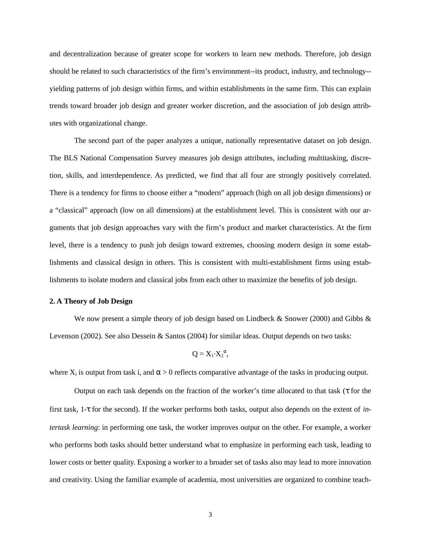and decentralization because of greater scope for workers to learn new methods. Therefore, job design should be related to such characteristics of the firm's environment--its product, industry, and technology- yielding patterns of job design within firms, and within establishments in the same firm. This can explain trends toward broader job design and greater worker discretion, and the association of job design attributes with organizational change.

The second part of the paper analyzes a unique, nationally representative dataset on job design. The BLS National Compensation Survey measures job design attributes, including multitasking, discretion, skills, and interdependence. As predicted, we find that all four are strongly positively correlated. There is a tendency for firms to choose either a "modern" approach (high on all job design dimensions) or a "classical" approach (low on all dimensions) at the establishment level. This is consistent with our arguments that job design approaches vary with the firm's product and market characteristics. At the firm level, there is a tendency to push job design toward extremes, choosing modern design in some establishments and classical design in others. This is consistent with multi-establishment firms using establishments to isolate modern and classical jobs from each other to maximize the benefits of job design.

#### **2. A Theory of Job Design**

We now present a simple theory of job design based on Lindbeck  $&$  Snower (2000) and Gibbs  $&$ Levenson (2002). See also Dessein & Santos (2004) for similar ideas. Output depends on two tasks:

$$
Q = X_1 \cdot X_2^{\alpha},
$$

where  $X_i$  is output from task i, and  $\alpha > 0$  reflects comparative advantage of the tasks in producing output.

Output on each task depends on the fraction of the worker's time allocated to that task (τ for the first task, 1-τ for the second). If the worker performs both tasks, output also depends on the extent of *intertask learning*: in performing one task, the worker improves output on the other. For example, a worker who performs both tasks should better understand what to emphasize in performing each task, leading to lower costs or better quality. Exposing a worker to a broader set of tasks also may lead to more innovation and creativity. Using the familiar example of academia, most universities are organized to combine teach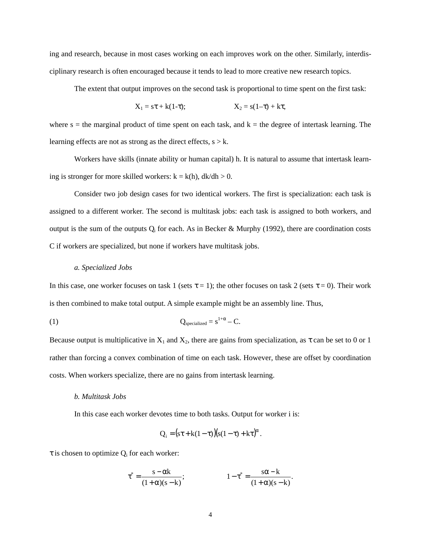ing and research, because in most cases working on each improves work on the other. Similarly, interdisciplinary research is often encouraged because it tends to lead to more creative new research topics.

The extent that output improves on the second task is proportional to time spent on the first task:

$$
X_1 = s\tau + k(1-\tau); \qquad \qquad X_2 = s(1-\tau) + k\tau,
$$

where  $s =$  the marginal product of time spent on each task, and  $k =$  the degree of intertask learning. The learning effects are not as strong as the direct effects,  $s > k$ .

Workers have skills (innate ability or human capital) h. It is natural to assume that intertask learning is stronger for more skilled workers:  $k = k(h)$ ,  $dk/dh > 0$ .

Consider two job design cases for two identical workers. The first is specialization: each task is assigned to a different worker. The second is multitask jobs: each task is assigned to both workers, and output is the sum of the outputs  $Q_i$  for each. As in Becker & Murphy (1992), there are coordination costs C if workers are specialized, but none if workers have multitask jobs.

#### *a. Specialized Jobs*

In this case, one worker focuses on task 1 (sets  $\tau = 1$ ); the other focuses on task 2 (sets  $\tau = 0$ ). Their work is then combined to make total output. A simple example might be an assembly line. Thus,

(1) 
$$
Q_{\text{specialized}} = s^{1+\alpha} - C.
$$

Because output is multiplicative in  $X_1$  and  $X_2$ , there are gains from specialization, as  $\tau$  can be set to 0 or 1 rather than forcing a convex combination of time on each task. However, these are offset by coordination costs. When workers specialize, there are no gains from intertask learning.

#### *b. Multitask Jobs*

In this case each worker devotes time to both tasks. Output for worker i is:

$$
Q_i = (s\tau + k(1-\tau))(s(1-\tau) + k\tau)^{\alpha}.
$$

 $\tau$  is chosen to optimize  $Q_i$  for each worker:

$$
\tau^* = \frac{s - \alpha k}{(1 + \alpha)(s - k)};
$$
  

$$
1 - \tau^* = \frac{s\alpha - k}{(1 + \alpha)(s - k)}.
$$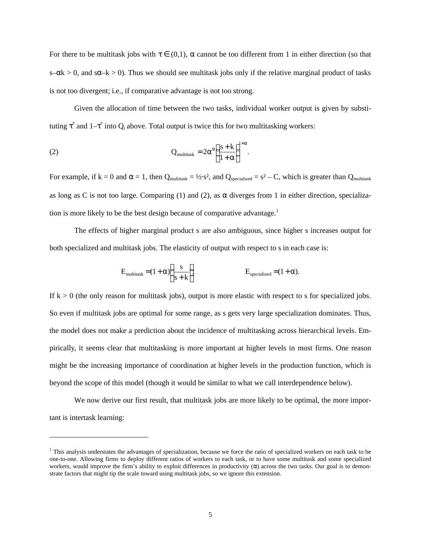For there to be multitask jobs with  $\tau \in (0,1)$ ,  $\alpha$  cannot be too different from 1 in either direction (so that s– $\alpha$ k > 0, and s $\alpha$ –k > 0). Thus we should see multitask jobs only if the relative marginal product of tasks is not too divergent; i.e., if comparative advantage is not too strong.

Given the allocation of time between the two tasks, individual worker output is given by substituting  $\tau^*$  and  $1-\tau^*$  into  $Q_i$  above. Total output is twice this for two multitasking workers:

(2) 
$$
Q_{\text{multitask}} = 2\alpha^{\alpha} \left(\frac{s+k}{1+\alpha}\right)^{1+\alpha}.
$$

-

For example, if  $k = 0$  and  $\alpha = 1$ , then  $Q_{multitsak} = \frac{1}{2} \cdot s^2$ , and  $Q_{specialized} = s^2 - C$ , which is greater than  $Q_{multitsak}$ as long as C is not too large. Comparing (1) and (2), as  $\alpha$  diverges from 1 in either direction, specialization is more likely to be the best design because of comparative advantage.<sup>1</sup>

The effects of higher marginal product s are also ambiguous, since higher s increases output for both specialized and multitask jobs. The elasticity of output with respect to s in each case is:

$$
E_{\text{multitask}} = (1 + \alpha) \left( \frac{s}{s + k} \right)
$$
  

$$
E_{\text{specialized}} = (1 + \alpha).
$$

If  $k > 0$  (the only reason for multitask jobs), output is more elastic with respect to s for specialized jobs. So even if multitask jobs are optimal for some range, as s gets very large specialization dominates. Thus, the model does not make a prediction about the incidence of multitasking across hierarchical levels. Empirically, it seems clear that multitasking is more important at higher levels in most firms. One reason might be the increasing importance of coordination at higher levels in the production function, which is beyond the scope of this model (though it would be similar to what we call interdependence below).

We now derive our first result, that multitask jobs are more likely to be optimal, the more important is intertask learning:

<sup>&</sup>lt;sup>1</sup> This analysis understates the advantages of specialization, because we force the ratio of specialized workers on each task to be one-to-one. Allowing firms to deploy different ratios of workers to each task, or to have some multitask and some specialized workers, would improve the firm's ability to exploit differences in productivity ( $\alpha$ ) across the two tasks. Our goal is to demonstrate factors that might tip the scale toward using multitask jobs, so we ignore this extension.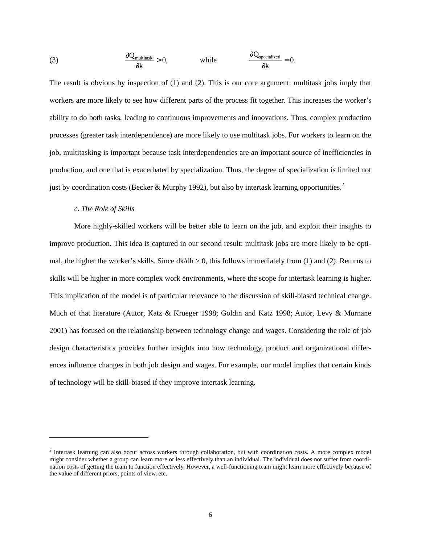(3) 
$$
\frac{\partial Q_{\text{multitask}}}{\partial k} > 0, \qquad \text{while} \qquad \frac{\partial Q_{\text{specialized}}}{\partial k} = 0.
$$

The result is obvious by inspection of (1) and (2). This is our core argument: multitask jobs imply that workers are more likely to see how different parts of the process fit together. This increases the worker's ability to do both tasks, leading to continuous improvements and innovations. Thus, complex production processes (greater task interdependence) are more likely to use multitask jobs. For workers to learn on the job, multitasking is important because task interdependencies are an important source of inefficiencies in production, and one that is exacerbated by specialization. Thus, the degree of specialization is limited not just by coordination costs (Becker & Murphy 1992), but also by intertask learning opportunities.<sup>2</sup>

#### *c. The Role of Skills*

1

More highly-skilled workers will be better able to learn on the job, and exploit their insights to improve production. This idea is captured in our second result: multitask jobs are more likely to be optimal, the higher the worker's skills. Since  $dk/dh > 0$ , this follows immediately from (1) and (2). Returns to skills will be higher in more complex work environments, where the scope for intertask learning is higher. This implication of the model is of particular relevance to the discussion of skill-biased technical change. Much of that literature (Autor, Katz & Krueger 1998; Goldin and Katz 1998; Autor, Levy & Murnane 2001) has focused on the relationship between technology change and wages. Considering the role of job design characteristics provides further insights into how technology, product and organizational differences influence changes in both job design and wages. For example, our model implies that certain kinds of technology will be skill-biased if they improve intertask learning.

<sup>&</sup>lt;sup>2</sup> Intertask learning can also occur across workers through collaboration, but with coordination costs. A more complex model might consider whether a group can learn more or less effectively than an individual. The individual does not suffer from coordination costs of getting the team to function effectively. However, a well-functioning team might learn more effectively because of the value of different priors, points of view, etc.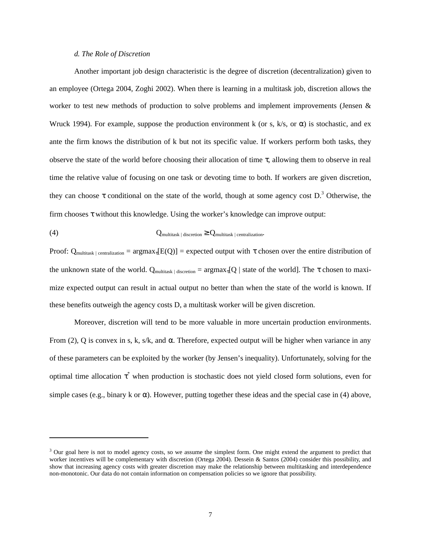#### *d. The Role of Discretion*

l

Another important job design characteristic is the degree of discretion (decentralization) given to an employee (Ortega 2004, Zoghi 2002). When there is learning in a multitask job, discretion allows the worker to test new methods of production to solve problems and implement improvements (Jensen  $\&$ Wruck 1994). For example, suppose the production environment k (or s, k/s, or  $\alpha$ ) is stochastic, and ex ante the firm knows the distribution of k but not its specific value. If workers perform both tasks, they observe the state of the world before choosing their allocation of time  $\tau$ , allowing them to observe in real time the relative value of focusing on one task or devoting time to both. If workers are given discretion, they can choose  $\tau$  conditional on the state of the world, though at some agency cost D.<sup>3</sup> Otherwise, the firm chooses  $\tau$  without this knowledge. Using the worker's knowledge can improve output:

$$
Q_{multitask \; | \; discreteion} \geq Q_{multitask \; | \; constraint \; otherwise}
$$

Proof:  $Q_{\text{multitsak }|\text{ centralization}} = \text{argmax}_{\tau}[E(Q)] = \text{expected output with } \tau \text{ chosen over the entire distribution of }$ the unknown state of the world. Q<sub>multitask | discretion</sub> =  $\arg \max_{\tau} [Q |$  state of the world]. The  $\tau$  chosen to maximize expected output can result in actual output no better than when the state of the world is known. If these benefits outweigh the agency costs D, a multitask worker will be given discretion.

Moreover, discretion will tend to be more valuable in more uncertain production environments. From (2), Q is convex in s, k, s/k, and α. Therefore, expected output will be higher when variance in any of these parameters can be exploited by the worker (by Jensen's inequality). Unfortunately, solving for the optimal time allocation  $\tau^*$  when production is stochastic does not yield closed form solutions, even for simple cases (e.g., binary k or  $\alpha$ ). However, putting together these ideas and the special case in (4) above,

<sup>&</sup>lt;sup>3</sup> Our goal here is not to model agency costs, so we assume the simplest form. One might extend the argument to predict that worker incentives will be complementary with discretion (Ortega 2004). Dessein & Santos (2004) consider this possibility, and show that increasing agency costs with greater discretion may make the relationship between multitasking and interdependence non-monotonic. Our data do not contain information on compensation policies so we ignore that possibility.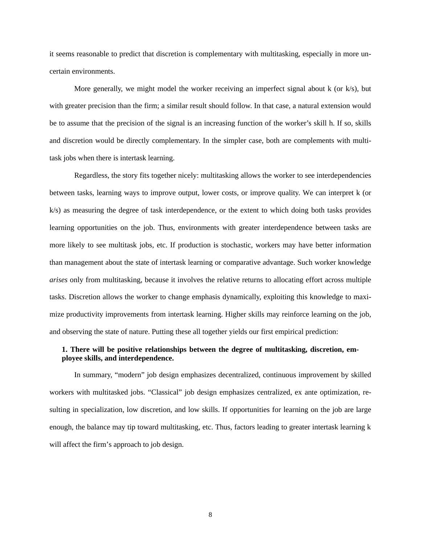it seems reasonable to predict that discretion is complementary with multitasking, especially in more uncertain environments.

More generally, we might model the worker receiving an imperfect signal about  $k$  (or  $k/s$ ), but with greater precision than the firm; a similar result should follow. In that case, a natural extension would be to assume that the precision of the signal is an increasing function of the worker's skill h. If so, skills and discretion would be directly complementary. In the simpler case, both are complements with multitask jobs when there is intertask learning.

Regardless, the story fits together nicely: multitasking allows the worker to see interdependencies between tasks, learning ways to improve output, lower costs, or improve quality. We can interpret k (or k/s) as measuring the degree of task interdependence, or the extent to which doing both tasks provides learning opportunities on the job. Thus, environments with greater interdependence between tasks are more likely to see multitask jobs, etc. If production is stochastic, workers may have better information than management about the state of intertask learning or comparative advantage. Such worker knowledge *arises* only from multitasking, because it involves the relative returns to allocating effort across multiple tasks. Discretion allows the worker to change emphasis dynamically, exploiting this knowledge to maximize productivity improvements from intertask learning. Higher skills may reinforce learning on the job, and observing the state of nature. Putting these all together yields our first empirical prediction:

## **1. There will be positive relationships between the degree of multitasking, discretion, employee skills, and interdependence.**

In summary, "modern" job design emphasizes decentralized, continuous improvement by skilled workers with multitasked jobs. "Classical" job design emphasizes centralized, ex ante optimization, resulting in specialization, low discretion, and low skills. If opportunities for learning on the job are large enough, the balance may tip toward multitasking, etc. Thus, factors leading to greater intertask learning k will affect the firm's approach to job design.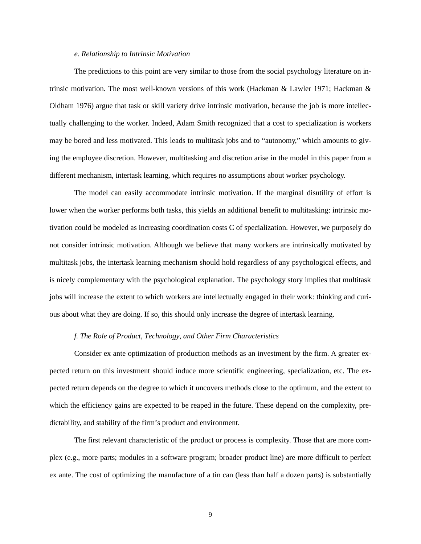#### *e. Relationship to Intrinsic Motivation*

The predictions to this point are very similar to those from the social psychology literature on intrinsic motivation. The most well-known versions of this work (Hackman & Lawler 1971; Hackman & Oldham 1976) argue that task or skill variety drive intrinsic motivation, because the job is more intellectually challenging to the worker. Indeed, Adam Smith recognized that a cost to specialization is workers may be bored and less motivated. This leads to multitask jobs and to "autonomy," which amounts to giving the employee discretion. However, multitasking and discretion arise in the model in this paper from a different mechanism, intertask learning, which requires no assumptions about worker psychology.

The model can easily accommodate intrinsic motivation. If the marginal disutility of effort is lower when the worker performs both tasks, this yields an additional benefit to multitasking: intrinsic motivation could be modeled as increasing coordination costs C of specialization. However, we purposely do not consider intrinsic motivation. Although we believe that many workers are intrinsically motivated by multitask jobs, the intertask learning mechanism should hold regardless of any psychological effects, and is nicely complementary with the psychological explanation. The psychology story implies that multitask jobs will increase the extent to which workers are intellectually engaged in their work: thinking and curious about what they are doing. If so, this should only increase the degree of intertask learning.

## *f. The Role of Product, Technology, and Other Firm Characteristics*

Consider ex ante optimization of production methods as an investment by the firm. A greater expected return on this investment should induce more scientific engineering, specialization, etc. The expected return depends on the degree to which it uncovers methods close to the optimum, and the extent to which the efficiency gains are expected to be reaped in the future. These depend on the complexity, predictability, and stability of the firm's product and environment.

The first relevant characteristic of the product or process is complexity. Those that are more complex (e.g., more parts; modules in a software program; broader product line) are more difficult to perfect ex ante. The cost of optimizing the manufacture of a tin can (less than half a dozen parts) is substantially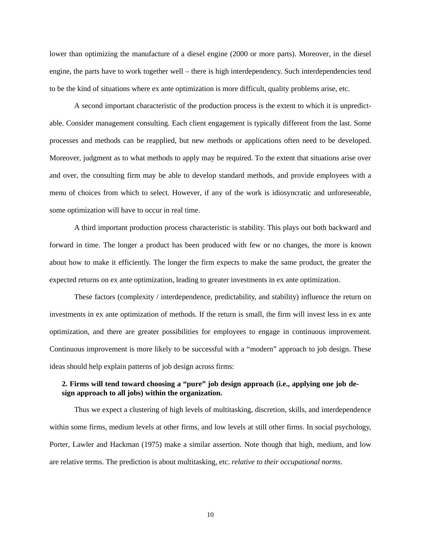lower than optimizing the manufacture of a diesel engine (2000 or more parts). Moreover, in the diesel engine, the parts have to work together well – there is high interdependency. Such interdependencies tend to be the kind of situations where ex ante optimization is more difficult, quality problems arise, etc.

A second important characteristic of the production process is the extent to which it is unpredictable. Consider management consulting. Each client engagement is typically different from the last. Some processes and methods can be reapplied, but new methods or applications often need to be developed. Moreover, judgment as to what methods to apply may be required. To the extent that situations arise over and over, the consulting firm may be able to develop standard methods, and provide employees with a menu of choices from which to select. However, if any of the work is idiosyncratic and unforeseeable, some optimization will have to occur in real time.

A third important production process characteristic is stability. This plays out both backward and forward in time. The longer a product has been produced with few or no changes, the more is known about how to make it efficiently. The longer the firm expects to make the same product, the greater the expected returns on ex ante optimization, leading to greater investments in ex ante optimization.

These factors (complexity / interdependence, predictability, and stability) influence the return on investments in ex ante optimization of methods. If the return is small, the firm will invest less in ex ante optimization, and there are greater possibilities for employees to engage in continuous improvement. Continuous improvement is more likely to be successful with a "modern" approach to job design. These ideas should help explain patterns of job design across firms:

## **2. Firms will tend toward choosing a "pure" job design approach (i.e., applying one job design approach to all jobs) within the organization.**

Thus we expect a clustering of high levels of multitasking, discretion, skills, and interdependence within some firms, medium levels at other firms, and low levels at still other firms. In social psychology, Porter, Lawler and Hackman (1975) make a similar assertion. Note though that high, medium, and low are relative terms. The prediction is about multitasking, etc. *relative to their occupational norms*.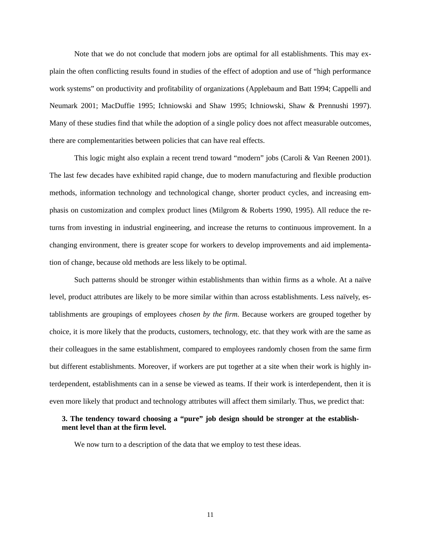Note that we do not conclude that modern jobs are optimal for all establishments. This may explain the often conflicting results found in studies of the effect of adoption and use of "high performance work systems" on productivity and profitability of organizations (Applebaum and Batt 1994; Cappelli and Neumark 2001; MacDuffie 1995; Ichniowski and Shaw 1995; Ichniowski, Shaw & Prennushi 1997). Many of these studies find that while the adoption of a single policy does not affect measurable outcomes, there are complementarities between policies that can have real effects.

This logic might also explain a recent trend toward "modern" jobs (Caroli & Van Reenen 2001). The last few decades have exhibited rapid change, due to modern manufacturing and flexible production methods, information technology and technological change, shorter product cycles, and increasing emphasis on customization and complex product lines (Milgrom & Roberts 1990, 1995). All reduce the returns from investing in industrial engineering, and increase the returns to continuous improvement. In a changing environment, there is greater scope for workers to develop improvements and aid implementation of change, because old methods are less likely to be optimal.

Such patterns should be stronger within establishments than within firms as a whole. At a naïve level, product attributes are likely to be more similar within than across establishments. Less naïvely, establishments are groupings of employees *chosen by the firm*. Because workers are grouped together by choice, it is more likely that the products, customers, technology, etc. that they work with are the same as their colleagues in the same establishment, compared to employees randomly chosen from the same firm but different establishments. Moreover, if workers are put together at a site when their work is highly interdependent, establishments can in a sense be viewed as teams. If their work is interdependent, then it is even more likely that product and technology attributes will affect them similarly. Thus, we predict that:

## **3. The tendency toward choosing a "pure" job design should be stronger at the establishment level than at the firm level.**

We now turn to a description of the data that we employ to test these ideas.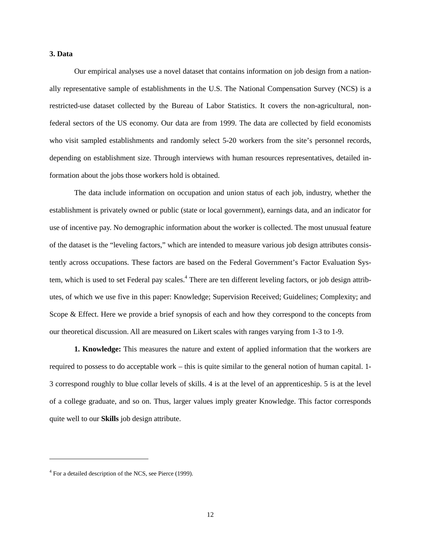#### **3. Data**

Our empirical analyses use a novel dataset that contains information on job design from a nationally representative sample of establishments in the U.S. The National Compensation Survey (NCS) is a restricted-use dataset collected by the Bureau of Labor Statistics. It covers the non-agricultural, nonfederal sectors of the US economy. Our data are from 1999. The data are collected by field economists who visit sampled establishments and randomly select 5-20 workers from the site's personnel records, depending on establishment size. Through interviews with human resources representatives, detailed information about the jobs those workers hold is obtained.

The data include information on occupation and union status of each job, industry, whether the establishment is privately owned or public (state or local government), earnings data, and an indicator for use of incentive pay. No demographic information about the worker is collected. The most unusual feature of the dataset is the "leveling factors," which are intended to measure various job design attributes consistently across occupations. These factors are based on the Federal Government's Factor Evaluation System, which is used to set Federal pay scales.<sup>4</sup> There are ten different leveling factors, or job design attributes, of which we use five in this paper: Knowledge; Supervision Received; Guidelines; Complexity; and Scope & Effect. Here we provide a brief synopsis of each and how they correspond to the concepts from our theoretical discussion. All are measured on Likert scales with ranges varying from 1-3 to 1-9.

**1. Knowledge:** This measures the nature and extent of applied information that the workers are required to possess to do acceptable work – this is quite similar to the general notion of human capital. 1- 3 correspond roughly to blue collar levels of skills. 4 is at the level of an apprenticeship. 5 is at the level of a college graduate, and so on. Thus, larger values imply greater Knowledge. This factor corresponds quite well to our **Skills** job design attribute.

l

<sup>&</sup>lt;sup>4</sup> For a detailed description of the NCS, see Pierce (1999).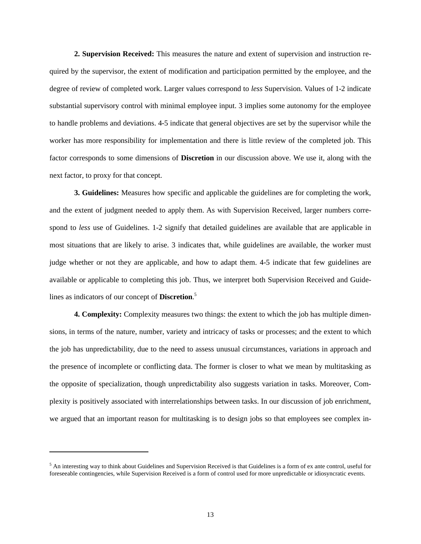**2. Supervision Received:** This measures the nature and extent of supervision and instruction required by the supervisor, the extent of modification and participation permitted by the employee, and the degree of review of completed work. Larger values correspond to *less* Supervision. Values of 1-2 indicate substantial supervisory control with minimal employee input. 3 implies some autonomy for the employee to handle problems and deviations. 4-5 indicate that general objectives are set by the supervisor while the worker has more responsibility for implementation and there is little review of the completed job. This factor corresponds to some dimensions of **Discretion** in our discussion above. We use it, along with the next factor, to proxy for that concept.

**3. Guidelines:** Measures how specific and applicable the guidelines are for completing the work, and the extent of judgment needed to apply them. As with Supervision Received, larger numbers correspond to *less* use of Guidelines. 1-2 signify that detailed guidelines are available that are applicable in most situations that are likely to arise. 3 indicates that, while guidelines are available, the worker must judge whether or not they are applicable, and how to adapt them. 4-5 indicate that few guidelines are available or applicable to completing this job. Thus, we interpret both Supervision Received and Guidelines as indicators of our concept of **Discretion**. 5

**4. Complexity:** Complexity measures two things: the extent to which the job has multiple dimensions, in terms of the nature, number, variety and intricacy of tasks or processes; and the extent to which the job has unpredictability, due to the need to assess unusual circumstances, variations in approach and the presence of incomplete or conflicting data. The former is closer to what we mean by multitasking as the opposite of specialization, though unpredictability also suggests variation in tasks. Moreover, Complexity is positively associated with interrelationships between tasks. In our discussion of job enrichment, we argued that an important reason for multitasking is to design jobs so that employees see complex in-

 $\overline{a}$ 

<sup>&</sup>lt;sup>5</sup> An interesting way to think about Guidelines and Supervision Received is that Guidelines is a form of ex ante control, useful for foreseeable contingencies, while Supervision Received is a form of control used for more unpredictable or idiosyncratic events.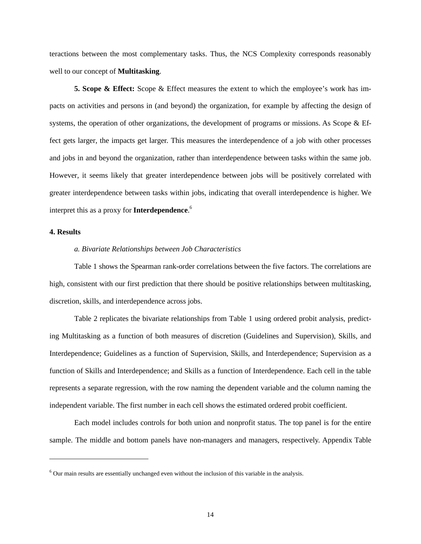teractions between the most complementary tasks. Thus, the NCS Complexity corresponds reasonably well to our concept of **Multitasking**.

**5. Scope & Effect:** Scope & Effect measures the extent to which the employee's work has impacts on activities and persons in (and beyond) the organization, for example by affecting the design of systems, the operation of other organizations, the development of programs or missions. As Scope & Effect gets larger, the impacts get larger. This measures the interdependence of a job with other processes and jobs in and beyond the organization, rather than interdependence between tasks within the same job. However, it seems likely that greater interdependence between jobs will be positively correlated with greater interdependence between tasks within jobs, indicating that overall interdependence is higher. We interpret this as a proxy for **Interdependence**. 6

#### **4. Results**

l

## *a. Bivariate Relationships between Job Characteristics*

Table 1 shows the Spearman rank-order correlations between the five factors. The correlations are high, consistent with our first prediction that there should be positive relationships between multitasking, discretion, skills, and interdependence across jobs.

Table 2 replicates the bivariate relationships from Table 1 using ordered probit analysis, predicting Multitasking as a function of both measures of discretion (Guidelines and Supervision), Skills, and Interdependence; Guidelines as a function of Supervision, Skills, and Interdependence; Supervision as a function of Skills and Interdependence; and Skills as a function of Interdependence. Each cell in the table represents a separate regression, with the row naming the dependent variable and the column naming the independent variable. The first number in each cell shows the estimated ordered probit coefficient.

Each model includes controls for both union and nonprofit status. The top panel is for the entire sample. The middle and bottom panels have non-managers and managers, respectively. Appendix Table

 $6$  Our main results are essentially unchanged even without the inclusion of this variable in the analysis.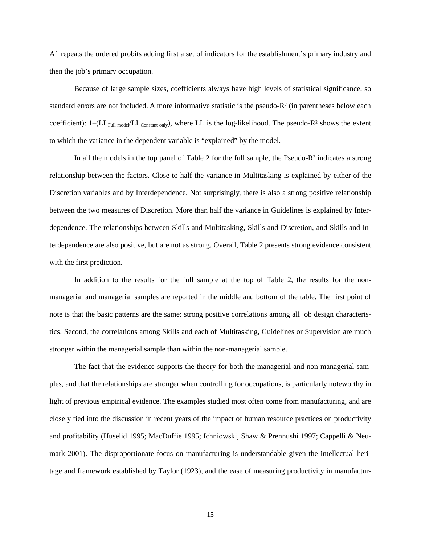A1 repeats the ordered probits adding first a set of indicators for the establishment's primary industry and then the job's primary occupation.

Because of large sample sizes, coefficients always have high levels of statistical significance, so standard errors are not included. A more informative statistic is the pseudo-R² (in parentheses below each coefficient):  $1-(LL_{Full model}/LL_{Constant~only})$ , where LL is the log-likelihood. The pseudo-R<sup>2</sup> shows the extent to which the variance in the dependent variable is "explained" by the model.

In all the models in the top panel of Table 2 for the full sample, the Pseudo-R² indicates a strong relationship between the factors. Close to half the variance in Multitasking is explained by either of the Discretion variables and by Interdependence. Not surprisingly, there is also a strong positive relationship between the two measures of Discretion. More than half the variance in Guidelines is explained by Interdependence. The relationships between Skills and Multitasking, Skills and Discretion, and Skills and Interdependence are also positive, but are not as strong. Overall, Table 2 presents strong evidence consistent with the first prediction.

In addition to the results for the full sample at the top of Table 2, the results for the nonmanagerial and managerial samples are reported in the middle and bottom of the table. The first point of note is that the basic patterns are the same: strong positive correlations among all job design characteristics. Second, the correlations among Skills and each of Multitasking, Guidelines or Supervision are much stronger within the managerial sample than within the non-managerial sample.

The fact that the evidence supports the theory for both the managerial and non-managerial samples, and that the relationships are stronger when controlling for occupations, is particularly noteworthy in light of previous empirical evidence. The examples studied most often come from manufacturing, and are closely tied into the discussion in recent years of the impact of human resource practices on productivity and profitability (Huselid 1995; MacDuffie 1995; Ichniowski, Shaw & Prennushi 1997; Cappelli & Neumark 2001). The disproportionate focus on manufacturing is understandable given the intellectual heritage and framework established by Taylor (1923), and the ease of measuring productivity in manufactur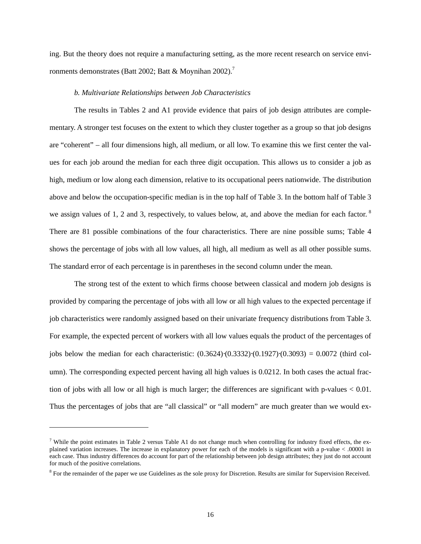ing. But the theory does not require a manufacturing setting, as the more recent research on service environments demonstrates (Batt 2002; Batt & Moynihan 2002).<sup>7</sup>

#### *b. Multivariate Relationships between Job Characteristics*

The results in Tables 2 and A1 provide evidence that pairs of job design attributes are complementary. A stronger test focuses on the extent to which they cluster together as a group so that job designs are "coherent" – all four dimensions high, all medium, or all low. To examine this we first center the values for each job around the median for each three digit occupation. This allows us to consider a job as high, medium or low along each dimension, relative to its occupational peers nationwide. The distribution above and below the occupation-specific median is in the top half of Table 3. In the bottom half of Table 3 we assign values of 1, 2 and 3, respectively, to values below, at, and above the median for each factor.<sup>8</sup> There are 81 possible combinations of the four characteristics. There are nine possible sums; Table 4 shows the percentage of jobs with all low values, all high, all medium as well as all other possible sums. The standard error of each percentage is in parentheses in the second column under the mean.

The strong test of the extent to which firms choose between classical and modern job designs is provided by comparing the percentage of jobs with all low or all high values to the expected percentage if job characteristics were randomly assigned based on their univariate frequency distributions from Table 3. For example, the expected percent of workers with all low values equals the product of the percentages of jobs below the median for each characteristic:  $(0.3624) \cdot (0.3332) \cdot (0.1927) \cdot (0.3093) = 0.0072$  (third column). The corresponding expected percent having all high values is 0.0212. In both cases the actual fraction of jobs with all low or all high is much larger; the differences are significant with p-values < 0.01. Thus the percentages of jobs that are "all classical" or "all modern" are much greater than we would ex-

l

<sup>&</sup>lt;sup>7</sup> While the point estimates in Table 2 versus Table A1 do not change much when controlling for industry fixed effects, the explained variation increases. The increase in explanatory power for each of the models is significant with a p-value < .00001 in each case. Thus industry differences do account for part of the relationship between job design attributes; they just do not account for much of the positive correlations.

 $8$  For the remainder of the paper we use Guidelines as the sole proxy for Discretion. Results are similar for Supervision Received.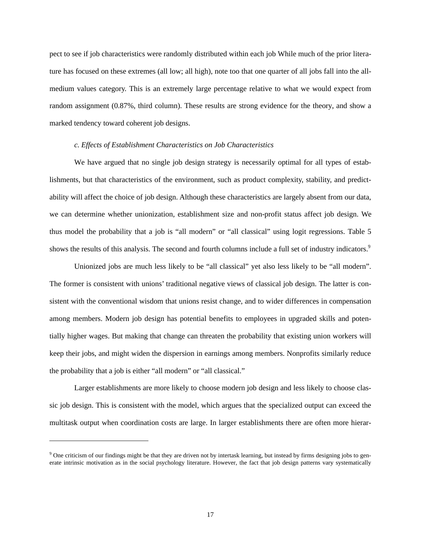pect to see if job characteristics were randomly distributed within each job While much of the prior literature has focused on these extremes (all low; all high), note too that one quarter of all jobs fall into the allmedium values category. This is an extremely large percentage relative to what we would expect from random assignment (0.87%, third column). These results are strong evidence for the theory, and show a marked tendency toward coherent job designs.

#### *c. Effects of Establishment Characteristics on Job Characteristics*

We have argued that no single job design strategy is necessarily optimal for all types of establishments, but that characteristics of the environment, such as product complexity, stability, and predictability will affect the choice of job design. Although these characteristics are largely absent from our data, we can determine whether unionization, establishment size and non-profit status affect job design. We thus model the probability that a job is "all modern" or "all classical" using logit regressions. Table 5 shows the results of this analysis. The second and fourth columns include a full set of industry indicators.<sup>9</sup>

Unionized jobs are much less likely to be "all classical" yet also less likely to be "all modern". The former is consistent with unions' traditional negative views of classical job design. The latter is consistent with the conventional wisdom that unions resist change, and to wider differences in compensation among members. Modern job design has potential benefits to employees in upgraded skills and potentially higher wages. But making that change can threaten the probability that existing union workers will keep their jobs, and might widen the dispersion in earnings among members. Nonprofits similarly reduce the probability that a job is either "all modern" or "all classical."

Larger establishments are more likely to choose modern job design and less likely to choose classic job design. This is consistent with the model, which argues that the specialized output can exceed the multitask output when coordination costs are large. In larger establishments there are often more hierar-

1

<sup>&</sup>lt;sup>9</sup> One criticism of our findings might be that they are driven not by intertask learning, but instead by firms designing jobs to generate intrinsic motivation as in the social psychology literature. However, the fact that job design patterns vary systematically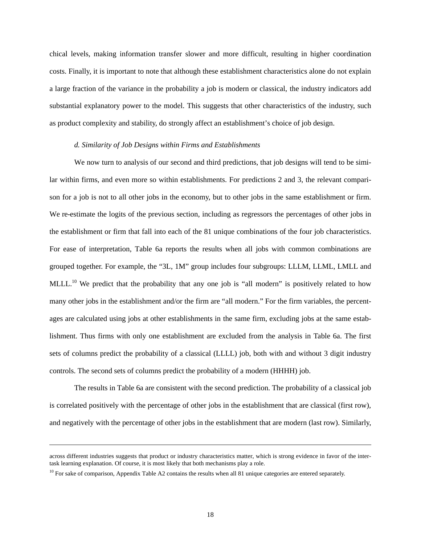chical levels, making information transfer slower and more difficult, resulting in higher coordination costs. Finally, it is important to note that although these establishment characteristics alone do not explain a large fraction of the variance in the probability a job is modern or classical, the industry indicators add substantial explanatory power to the model. This suggests that other characteristics of the industry, such as product complexity and stability, do strongly affect an establishment's choice of job design.

#### *d. Similarity of Job Designs within Firms and Establishments*

We now turn to analysis of our second and third predictions, that job designs will tend to be similar within firms, and even more so within establishments. For predictions 2 and 3, the relevant comparison for a job is not to all other jobs in the economy, but to other jobs in the same establishment or firm. We re-estimate the logits of the previous section, including as regressors the percentages of other jobs in the establishment or firm that fall into each of the 81 unique combinations of the four job characteristics. For ease of interpretation, Table 6a reports the results when all jobs with common combinations are grouped together. For example, the "3L, 1M" group includes four subgroups: LLLM, LLML, LMLL and MLLL.<sup>10</sup> We predict that the probability that any one job is "all modern" is positively related to how many other jobs in the establishment and/or the firm are "all modern." For the firm variables, the percentages are calculated using jobs at other establishments in the same firm, excluding jobs at the same establishment. Thus firms with only one establishment are excluded from the analysis in Table 6a. The first sets of columns predict the probability of a classical (LLLL) job, both with and without 3 digit industry controls. The second sets of columns predict the probability of a modern (HHHH) job.

The results in Table 6a are consistent with the second prediction. The probability of a classical job is correlated positively with the percentage of other jobs in the establishment that are classical (first row), and negatively with the percentage of other jobs in the establishment that are modern (last row). Similarly,

l

across different industries suggests that product or industry characteristics matter, which is strong evidence in favor of the intertask learning explanation. Of course, it is most likely that both mechanisms play a role.

 $10$  For sake of comparison, Appendix Table A2 contains the results when all 81 unique categories are entered separately.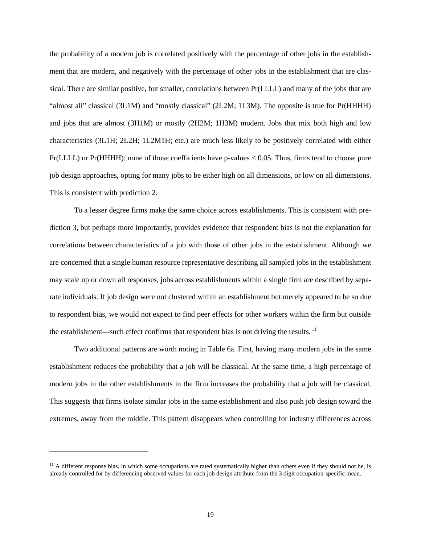the probability of a modern job is correlated positively with the percentage of other jobs in the establishment that are modern, and negatively with the percentage of other jobs in the establishment that are classical. There are similar positive, but smaller, correlations between Pr(LLLL) and many of the jobs that are "almost all" classical (3L1M) and "mostly classical" (2L2M; 1L3M). The opposite is true for Pr(HHHH) and jobs that are almost (3H1M) or mostly (2H2M; 1H3M) modern. Jobs that mix both high and low characteristics (3L1H; 2L2H; 1L2M1H; etc.) are much less likely to be positively correlated with either Pr(LLLL) or Pr(HHHH): none of those coefficients have p-values < 0.05. Thus, firms tend to choose pure job design approaches, opting for many jobs to be either high on all dimensions, or low on all dimensions. This is consistent with prediction 2.

To a lesser degree firms make the same choice across establishments. This is consistent with prediction 3, but perhaps more importantly, provides evidence that respondent bias is not the explanation for correlations between characteristics of a job with those of other jobs in the establishment. Although we are concerned that a single human resource representative describing all sampled jobs in the establishment may scale up or down all responses, jobs across establishments within a single firm are described by separate individuals. If job design were not clustered within an establishment but merely appeared to be so due to respondent bias, we would not expect to find peer effects for other workers within the firm but outside the establishment—such effect confirms that respondent bias is not driving the results.  $\frac{11}{11}$ 

Two additional patterns are worth noting in Table 6a. First, having many modern jobs in the same establishment reduces the probability that a job will be classical. At the same time, a high percentage of modern jobs in the other establishments in the firm increases the probability that a job will be classical. This suggests that firms isolate similar jobs in the same establishment and also push job design toward the extremes, away from the middle. This pattern disappears when controlling for industry differences across

-

 $11$  A different response bias, in which some occupations are rated systematically higher than others even if they should not be, is already controlled for by differencing observed values for each job design attribute from the 3 digit occupation-specific mean.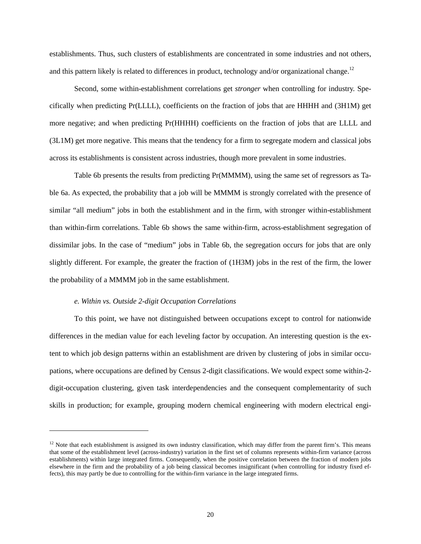establishments. Thus, such clusters of establishments are concentrated in some industries and not others, and this pattern likely is related to differences in product, technology and/or organizational change.<sup>12</sup>

Second, some within-establishment correlations get *stronger* when controlling for industry. Specifically when predicting Pr(LLLL), coefficients on the fraction of jobs that are HHHH and (3H1M) get more negative; and when predicting Pr(HHHH) coefficients on the fraction of jobs that are LLLL and (3L1M) get more negative. This means that the tendency for a firm to segregate modern and classical jobs across its establishments is consistent across industries, though more prevalent in some industries.

Table 6b presents the results from predicting Pr(MMMM), using the same set of regressors as Table 6a. As expected, the probability that a job will be MMMM is strongly correlated with the presence of similar "all medium" jobs in both the establishment and in the firm, with stronger within-establishment than within-firm correlations. Table 6b shows the same within-firm, across-establishment segregation of dissimilar jobs. In the case of "medium" jobs in Table 6b, the segregation occurs for jobs that are only slightly different. For example, the greater the fraction of (1H3M) jobs in the rest of the firm, the lower the probability of a MMMM job in the same establishment.

#### *e. Within vs. Outside 2-digit Occupation Correlations*

l

To this point, we have not distinguished between occupations except to control for nationwide differences in the median value for each leveling factor by occupation. An interesting question is the extent to which job design patterns within an establishment are driven by clustering of jobs in similar occupations, where occupations are defined by Census 2-digit classifications. We would expect some within-2 digit-occupation clustering, given task interdependencies and the consequent complementarity of such skills in production; for example, grouping modern chemical engineering with modern electrical engi-

 $12$  Note that each establishment is assigned its own industry classification, which may differ from the parent firm's. This means that some of the establishment level (across-industry) variation in the first set of columns represents within-firm variance (across establishments) within large integrated firms. Consequently, when the positive correlation between the fraction of modern jobs elsewhere in the firm and the probability of a job being classical becomes insignificant (when controlling for industry fixed effects), this may partly be due to controlling for the within-firm variance in the large integrated firms.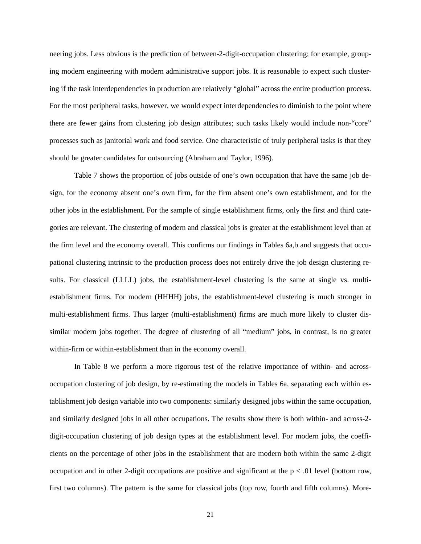neering jobs. Less obvious is the prediction of between-2-digit-occupation clustering; for example, grouping modern engineering with modern administrative support jobs. It is reasonable to expect such clustering if the task interdependencies in production are relatively "global" across the entire production process. For the most peripheral tasks, however, we would expect interdependencies to diminish to the point where there are fewer gains from clustering job design attributes; such tasks likely would include non-"core" processes such as janitorial work and food service. One characteristic of truly peripheral tasks is that they should be greater candidates for outsourcing (Abraham and Taylor, 1996).

Table 7 shows the proportion of jobs outside of one's own occupation that have the same job design, for the economy absent one's own firm, for the firm absent one's own establishment, and for the other jobs in the establishment. For the sample of single establishment firms, only the first and third categories are relevant. The clustering of modern and classical jobs is greater at the establishment level than at the firm level and the economy overall. This confirms our findings in Tables 6a,b and suggests that occupational clustering intrinsic to the production process does not entirely drive the job design clustering results. For classical (LLLL) jobs, the establishment-level clustering is the same at single vs. multiestablishment firms. For modern (HHHH) jobs, the establishment-level clustering is much stronger in multi-establishment firms. Thus larger (multi-establishment) firms are much more likely to cluster dissimilar modern jobs together. The degree of clustering of all "medium" jobs, in contrast, is no greater within-firm or within-establishment than in the economy overall.

In Table 8 we perform a more rigorous test of the relative importance of within- and acrossoccupation clustering of job design, by re-estimating the models in Tables 6a, separating each within establishment job design variable into two components: similarly designed jobs within the same occupation, and similarly designed jobs in all other occupations. The results show there is both within- and across-2 digit-occupation clustering of job design types at the establishment level. For modern jobs, the coefficients on the percentage of other jobs in the establishment that are modern both within the same 2-digit occupation and in other 2-digit occupations are positive and significant at the  $p < .01$  level (bottom row, first two columns). The pattern is the same for classical jobs (top row, fourth and fifth columns). More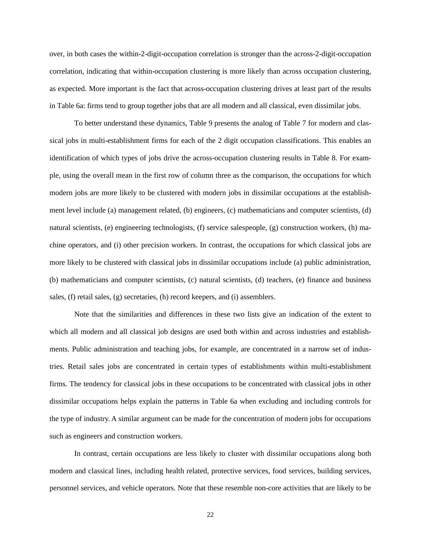over, in both cases the within-2-digit-occupation correlation is stronger than the across-2-digit-occupation correlation, indicating that within-occupation clustering is more likely than across occupation clustering, as expected. More important is the fact that across-occupation clustering drives at least part of the results in Table 6a: firms tend to group together jobs that are all modern and all classical, even dissimilar jobs.

To better understand these dynamics, Table 9 presents the analog of Table 7 for modern and classical jobs in multi-establishment firms for each of the 2 digit occupation classifications. This enables an identification of which types of jobs drive the across-occupation clustering results in Table 8. For example, using the overall mean in the first row of column three as the comparison, the occupations for which modern jobs are more likely to be clustered with modern jobs in dissimilar occupations at the establishment level include (a) management related, (b) engineers, (c) mathematicians and computer scientists, (d) natural scientists, (e) engineering technologists, (f) service salespeople, (g) construction workers, (h) machine operators, and (i) other precision workers. In contrast, the occupations for which classical jobs are more likely to be clustered with classical jobs in dissimilar occupations include (a) public administration, (b) mathematicians and computer scientists, (c) natural scientists, (d) teachers, (e) finance and business sales, (f) retail sales, (g) secretaries, (h) record keepers, and (i) assemblers.

Note that the similarities and differences in these two lists give an indication of the extent to which all modern and all classical job designs are used both within and across industries and establishments. Public administration and teaching jobs, for example, are concentrated in a narrow set of industries. Retail sales jobs are concentrated in certain types of establishments within multi-establishment firms. The tendency for classical jobs in these occupations to be concentrated with classical jobs in other dissimilar occupations helps explain the patterns in Table 6a when excluding and including controls for the type of industry. A similar argument can be made for the concentration of modern jobs for occupations such as engineers and construction workers.

In contrast, certain occupations are less likely to cluster with dissimilar occupations along both modern and classical lines, including health related, protective services, food services, building services, personnel services, and vehicle operators. Note that these resemble non-core activities that are likely to be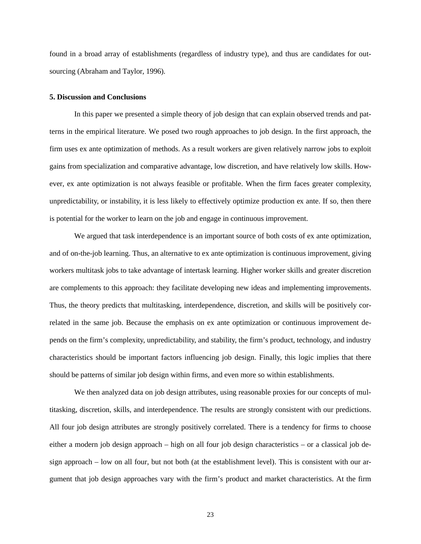found in a broad array of establishments (regardless of industry type), and thus are candidates for outsourcing (Abraham and Taylor, 1996).

#### **5. Discussion and Conclusions**

In this paper we presented a simple theory of job design that can explain observed trends and patterns in the empirical literature. We posed two rough approaches to job design. In the first approach, the firm uses ex ante optimization of methods. As a result workers are given relatively narrow jobs to exploit gains from specialization and comparative advantage, low discretion, and have relatively low skills. However, ex ante optimization is not always feasible or profitable. When the firm faces greater complexity, unpredictability, or instability, it is less likely to effectively optimize production ex ante. If so, then there is potential for the worker to learn on the job and engage in continuous improvement.

We argued that task interdependence is an important source of both costs of ex ante optimization, and of on-the-job learning. Thus, an alternative to ex ante optimization is continuous improvement, giving workers multitask jobs to take advantage of intertask learning. Higher worker skills and greater discretion are complements to this approach: they facilitate developing new ideas and implementing improvements. Thus, the theory predicts that multitasking, interdependence, discretion, and skills will be positively correlated in the same job. Because the emphasis on ex ante optimization or continuous improvement depends on the firm's complexity, unpredictability, and stability, the firm's product, technology, and industry characteristics should be important factors influencing job design. Finally, this logic implies that there should be patterns of similar job design within firms, and even more so within establishments.

We then analyzed data on job design attributes, using reasonable proxies for our concepts of multitasking, discretion, skills, and interdependence. The results are strongly consistent with our predictions. All four job design attributes are strongly positively correlated. There is a tendency for firms to choose either a modern job design approach – high on all four job design characteristics – or a classical job design approach – low on all four, but not both (at the establishment level). This is consistent with our argument that job design approaches vary with the firm's product and market characteristics. At the firm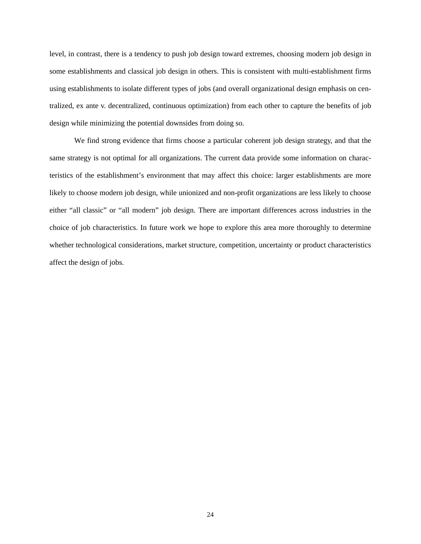level, in contrast, there is a tendency to push job design toward extremes, choosing modern job design in some establishments and classical job design in others. This is consistent with multi-establishment firms using establishments to isolate different types of jobs (and overall organizational design emphasis on centralized, ex ante v. decentralized, continuous optimization) from each other to capture the benefits of job design while minimizing the potential downsides from doing so.

We find strong evidence that firms choose a particular coherent job design strategy, and that the same strategy is not optimal for all organizations. The current data provide some information on characteristics of the establishment's environment that may affect this choice: larger establishments are more likely to choose modern job design, while unionized and non-profit organizations are less likely to choose either "all classic" or "all modern" job design. There are important differences across industries in the choice of job characteristics. In future work we hope to explore this area more thoroughly to determine whether technological considerations, market structure, competition, uncertainty or product characteristics affect the design of jobs.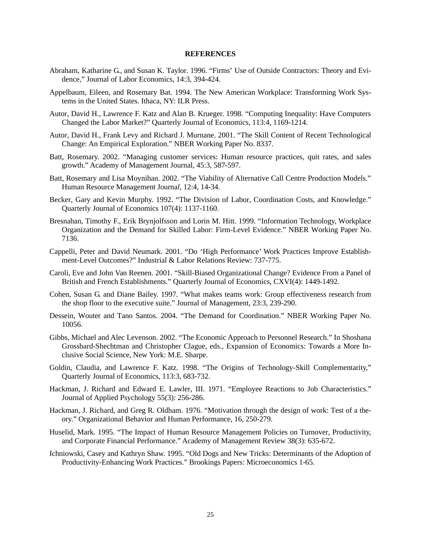#### **REFERENCES**

- Abraham, Katharine G., and Susan K. Taylor. 1996. "Firms' Use of Outside Contractors: Theory and Evidence," Journal of Labor Economics, 14:3, 394-424.
- Appelbaum, Eileen, and Rosemary Bat. 1994. The New American Workplace: Transforming Work Systems in the United States. Ithaca, NY: ILR Press.
- Autor, David H., Lawrence F. Katz and Alan B. Krueger. 1998. "Computing Inequality: Have Computers Changed the Labor Market?" Quarterly Journal of Economics, 113:4, 1169-1214.
- Autor, David H., Frank Levy and Richard J. Murnane. 2001. "The Skill Content of Recent Technological Change: An Empirical Exploration." NBER Working Paper No. 8337.
- Batt, Rosemary. 2002. "Managing customer services: Human resource practices, quit rates, and sales growth." Academy of Management Journal, 45:3, 587-597.
- Batt, Rosemary and Lisa Moynihan. 2002. "The Viability of Alternative Call Centre Production Models." Human Resource Management Journa*l*, 12:4, 14-34.
- Becker, Gary and Kevin Murphy. 1992. "The Division of Labor, Coordination Costs, and Knowledge." Quarterly Journal of Economics 107(4): 1137-1160.
- Bresnahan, Timothy F., Erik Brynjolfsson and Lorin M. Hitt. 1999. "Information Technology, Workplace Organization and the Demand for Skilled Labor: Firm-Level Evidence." NBER Working Paper No. 7136.
- Cappelli, Peter and David Neumark. 2001. "Do 'High Performance' Work Practices Improve Establishment-Level Outcomes?" Industrial & Labor Relations Review: 737-775.
- Caroli, Eve and John Van Reenen. 2001. "Skill-Biased Organizational Change? Evidence From a Panel of British and French Establishments." Quarterly Journal of Economics, CXVI(4): 1449-1492.
- Cohen, Susan G. and Diane Bailey. 1997. "What makes teams work: Group effectiveness research from the shop floor to the executive suite." Journal of Management, 23:3, 239-290.
- Dessein, Wouter and Tano Santos. 2004. "The Demand for Coordination." NBER Working Paper No. 10056.
- Gibbs, Michael and Alec Levenson. 2002. "The Economic Approach to Personnel Research." In Shoshana Grossbard-Shechtman and Christopher Clague, eds., Expansion of Economics: Towards a More Inclusive Social Science, New York: M.E. Sharpe.
- Goldin, Claudia, and Lawrence F. Katz. 1998. "The Origins of Technology-Skill Complementarity," Quarterly Journal of Economics, 113:3, 683-732.
- Hackman, J. Richard and Edward E. Lawler, III. 1971. "Employee Reactions to Job Characteristics." Journal of Applied Psychology 55(3): 256-286.
- Hackman, J. Richard, and Greg R. Oldham. 1976. "Motivation through the design of work: Test of a theory." Organizational Behavior and Human Performance, 16, 250-279.
- Huselid, Mark. 1995. "The Impact of Human Resource Management Policies on Turnover, Productivity, and Corporate Financial Performance." Academy of Management Review 38(3): 635-672.
- Ichniowski, Casey and Kathryn Shaw. 1995. "Old Dogs and New Tricks: Determinants of the Adoption of Productivity-Enhancing Work Practices." Brookings Papers: Microeconomics 1-65*.*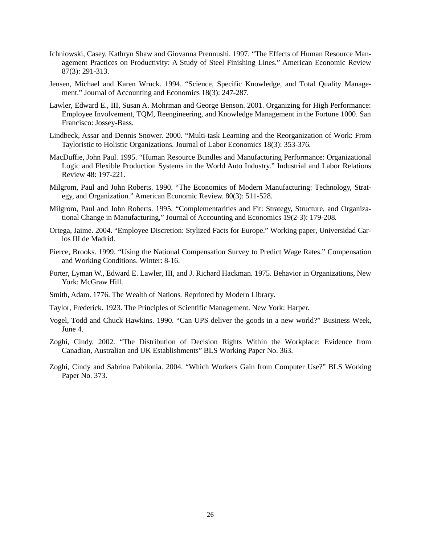- Ichniowski, Casey, Kathryn Shaw and Giovanna Prennushi. 1997. "The Effects of Human Resource Management Practices on Productivity: A Study of Steel Finishing Lines." American Economic Review 87(3): 291-313.
- Jensen, Michael and Karen Wruck. 1994. "Science, Specific Knowledge, and Total Quality Management." Journal of Accounting and Economics 18(3): 247-287*.*
- Lawler, Edward E., III, Susan A. Mohrman and George Benson. 2001. Organizing for High Performance: Employee Involvement, TQM, Reengineering, and Knowledge Management in the Fortune 1000. San Francisco: Jossey-Bass.
- Lindbeck, Assar and Dennis Snower. 2000. "Multi-task Learning and the Reorganization of Work: From Tayloristic to Holistic Organizations. Journal of Labor Economics 18(3): 353-376*.*
- MacDuffie, John Paul. 1995. "Human Resource Bundles and Manufacturing Performance: Organizational Logic and Flexible Production Systems in the World Auto Industry." Industrial and Labor Relations Review 48: 197-221*.*
- Milgrom, Paul and John Roberts. 1990. "The Economics of Modern Manufacturing: Technology, Strategy, and Organization." American Economic Review. 80(3): 511-528*.*
- Milgrom, Paul and John Roberts. 1995. "Complementarities and Fit: Strategy, Structure, and Organizational Change in Manufacturing," Journal of Accounting and Economics 19(2-3): 179-208*.*
- Ortega, Jaime. 2004. "Employee Discretion: Stylized Facts for Europe." Working paper, Universidad Carlos III de Madrid.
- Pierce, Brooks. 1999. "Using the National Compensation Survey to Predict Wage Rates." Compensation and Working Conditions. Winter: 8-16.
- Porter, Lyman W., Edward E. Lawler, III, and J. Richard Hackman. 1975. Behavior in Organizations, New York: McGraw Hill.
- Smith, Adam. 1776. The Wealth of Nations*.* Reprinted by Modern Library*.*
- Taylor, Frederick. 1923. The Principles of Scientific Management. New York: Harper.
- Vogel, Todd and Chuck Hawkins. 1990. "Can UPS deliver the goods in a new world?" Business Week, June 4.
- Zoghi, Cindy. 2002. "The Distribution of Decision Rights Within the Workplace: Evidence from Canadian, Australian and UK Establishments" BLS Working Paper No. 363.
- Zoghi, Cindy and Sabrina Pabilonia. 2004. "Which Workers Gain from Computer Use?" BLS Working Paper No. 373.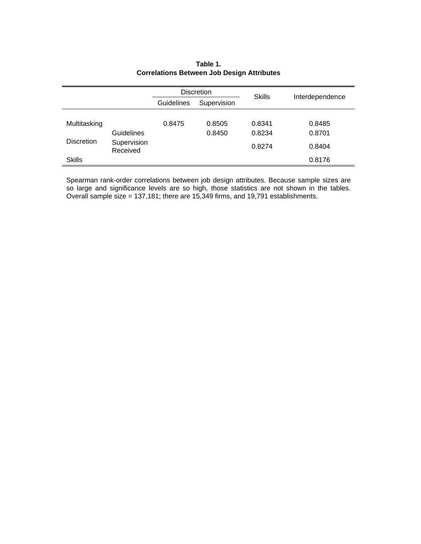|                   |                         |                           | <b>Discretion</b> | <b>Skills</b> | Interdependence |  |
|-------------------|-------------------------|---------------------------|-------------------|---------------|-----------------|--|
|                   |                         | Supervision<br>Guidelines |                   |               |                 |  |
|                   |                         |                           |                   |               |                 |  |
| Multitasking      |                         | 0.8475                    | 0.8505            | 0.8341        | 0.8485          |  |
|                   | Guidelines              |                           | 0.8450            | 0.8234        | 0.8701          |  |
| <b>Discretion</b> | Supervision<br>Received |                           |                   | 0.8274        | 0.8404          |  |
| <b>Skills</b>     |                         |                           |                   |               | 0.8176          |  |

## **Table 1. Correlations Between Job Design Attributes**

Spearman rank-order correlations between job design attributes. Because sample sizes are so large and significance levels are so high, those statistics are not shown in the tables. Overall sample size = 137,181; there are 15,349 firms, and 19,791 establishments.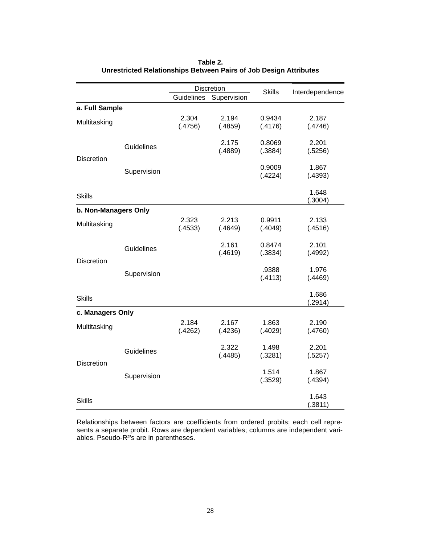|                      |             |            | Discretion  | <b>Skills</b>     | Interdependence  |
|----------------------|-------------|------------|-------------|-------------------|------------------|
|                      |             | Guidelines | Supervision |                   |                  |
| a. Full Sample       |             |            |             |                   |                  |
| Multitasking         |             | 2.304      | 2.194       | 0.9434            | 2.187            |
|                      |             | (.4756)    | (.4859)     | (.4176)           | (.4746)          |
|                      |             |            | 2.175       | 0.8069            | 2.201            |
|                      | Guidelines  |            | (.4889)     | (.3884)           | (.5256)          |
| <b>Discretion</b>    |             |            |             |                   |                  |
|                      | Supervision |            |             | 0.9009            | 1.867            |
|                      |             |            |             | (.4224)           | (.4393)          |
|                      |             |            |             |                   | 1.648            |
| <b>Skills</b>        |             |            |             |                   | (.3004)          |
| b. Non-Managers Only |             |            |             |                   |                  |
|                      |             | 2.323      | 2.213       | 0.9911            | 2.133            |
| Multitasking         |             | (.4533)    | (.4649)     | (.4049)           | (.4516)          |
|                      |             |            | 2.161       |                   | 2.101            |
|                      | Guidelines  |            | (.4619)     | 0.8474<br>(.3834) | (.4992)          |
| <b>Discretion</b>    |             |            |             |                   |                  |
|                      | Supervision |            |             | .9388             | 1.976            |
|                      |             |            |             | (.4113)           | (.4469)          |
|                      |             |            |             |                   | 1.686            |
| <b>Skills</b>        |             |            |             |                   | (.2914)          |
| c. Managers Only     |             |            |             |                   |                  |
|                      |             | 2.184      | 2.167       | 1.863             | 2.190            |
| Multitasking         |             | (.4262)    | (.4236)     | (.4029)           | (.4760)          |
|                      |             |            |             |                   |                  |
|                      | Guidelines  |            | 2.322       | 1.498             | 2.201            |
| <b>Discretion</b>    |             |            | (.4485)     | (.3281)           | (.5257)          |
|                      |             |            |             | 1.514             | 1.867            |
|                      | Supervision |            |             | (.3529)           | (.4394)          |
|                      |             |            |             |                   |                  |
| <b>Skills</b>        |             |            |             |                   | 1.643<br>(.3811) |

**Table 2. Unrestricted Relationships Between Pairs of Job Design Attributes**

Relationships between factors are coefficients from ordered probits; each cell represents a separate probit. Rows are dependent variables; columns are independent variables. Pseudo-R²'s are in parentheses.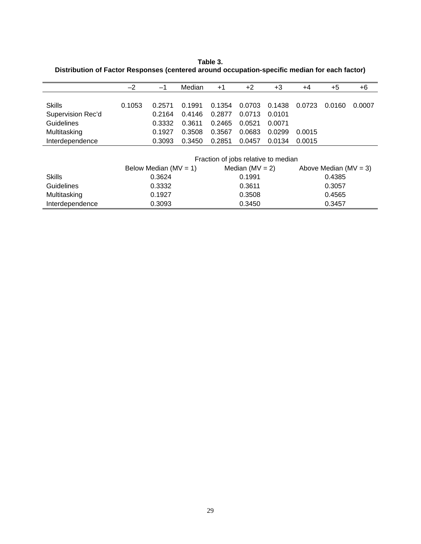**Table 3. Distribution of Factor Responses (centered around occupation-specific median for each factor)**

|                   | $-2$   | $-1$                      | Median | $+1$                                | $+2$                | $+3$   | $+4$   | $+5$                      | +6     |
|-------------------|--------|---------------------------|--------|-------------------------------------|---------------------|--------|--------|---------------------------|--------|
|                   |        |                           |        |                                     |                     |        |        |                           |        |
| Skills            | 0.1053 | 0.2571                    | 0.1991 | 0.1354                              | 0.0703              | 0.1438 | 0.0723 | 0.0160                    | 0.0007 |
| Supervision Rec'd |        | 0.2164                    | 0.4146 | 0.2877                              | 0.0713              | 0.0101 |        |                           |        |
| Guidelines        |        | 0.3332                    | 0.3611 | 0.2465                              | 0.0521              | 0.0071 |        |                           |        |
| Multitasking      |        | 0.1927                    | 0.3508 | 0.3567                              | 0.0683              | 0.0299 | 0.0015 |                           |        |
| Interdependence   |        | 0.3093                    | 0.3450 | 0.2851                              | 0.0457              | 0.0134 | 0.0015 |                           |        |
|                   |        |                           |        |                                     |                     |        |        |                           |        |
|                   |        |                           |        | Fraction of jobs relative to median |                     |        |        |                           |        |
|                   |        | Below Median ( $MV = 1$ ) |        |                                     | Median ( $MV = 2$ ) |        |        | Above Median ( $MV = 3$ ) |        |
| <b>Skills</b>     |        | 0.3624                    |        |                                     | 0.1991              |        |        | 0.4385                    |        |
| <b>Guidelines</b> |        | 0.3332                    |        |                                     | 0.3611              |        |        | 0.3057                    |        |
| Multitasking      |        | 0.1927                    |        |                                     | 0.3508              |        |        | 0.4565                    |        |
| Interdependence   |        | 0.3093                    |        |                                     | 0.3450              |        |        | 0.3457                    |        |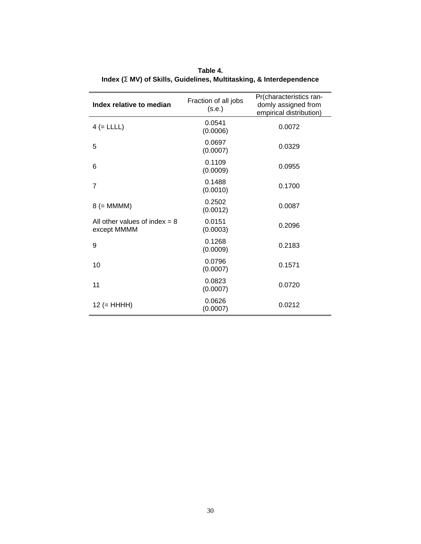| Index relative to median                       | Fraction of all jobs<br>(s.e.) | Pr(characteristics ran-<br>domly assigned from<br>empirical distribution) |
|------------------------------------------------|--------------------------------|---------------------------------------------------------------------------|
| $4 (= LLLL)$                                   | 0.0541<br>(0.0006)             | 0.0072                                                                    |
| 5                                              | 0.0697<br>(0.0007)             | 0.0329                                                                    |
| 6                                              | 0.1109<br>(0.0009)             | 0.0955                                                                    |
| $\overline{7}$                                 | 0.1488<br>(0.0010)             | 0.1700                                                                    |
| $8 (= MMMM)$                                   | 0.2502<br>(0.0012)             | 0.0087                                                                    |
| All other values of index $= 8$<br>except MMMM | 0.0151<br>(0.0003)             | 0.2096                                                                    |
| 9                                              | 0.1268<br>(0.0009)             | 0.2183                                                                    |
| 10                                             | 0.0796<br>(0.0007)             | 0.1571                                                                    |
| 11                                             | 0.0823<br>(0.0007)             | 0.0720                                                                    |
| $12 (= HHHH)$                                  | 0.0626<br>(0.0007)             | 0.0212                                                                    |

**Table 4. Index (S MV) of Skills, Guidelines, Multitasking, & Interdependence**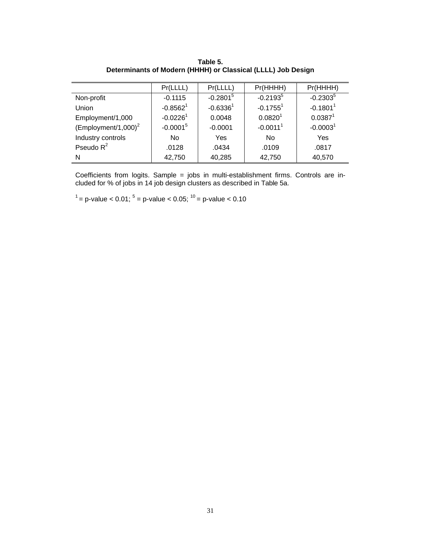|                         | Pr(LLLL)               | Pr(LLLL)      | Pr(HHHH)               | Pr(HHHH)            |
|-------------------------|------------------------|---------------|------------------------|---------------------|
| Non-profit              | $-0.1115$              | $-0.2801^5$   | $-0.2193^{5}$          | $-0.2303^{5}$       |
| Union                   | $-0.85621$             | $-0.6336^{1}$ | $-0.17551$             | $-0.18011$          |
| Employment/1,000        | $-0.0226$ <sup>1</sup> | 0.0048        | $0.0820^{1}$           | 0.0387 <sup>1</sup> |
| (Employment/1,000) $^2$ | $-0.0001^5$            | $-0.0001$     | $-0.0011$ <sup>1</sup> | $-0.00031$          |
| Industry controls       | No.                    | Yes           | No                     | Yes                 |
| Pseudo $R^2$            | .0128                  | .0434         | .0109                  | .0817               |
| N                       | 42,750                 | 40,285        | 42,750                 | 40,570              |

**Table 5. Determinants of Modern (HHHH) or Classical (LLLL) Job Design**

Coefficients from logits. Sample = jobs in multi-establishment firms. Controls are included for % of jobs in 14 job design clusters as described in Table 5a.

 $1$ <sup>1</sup> = p-value < 0.01; <sup>5</sup> = p-value < 0.05;  $^{10}$  = p-value < 0.10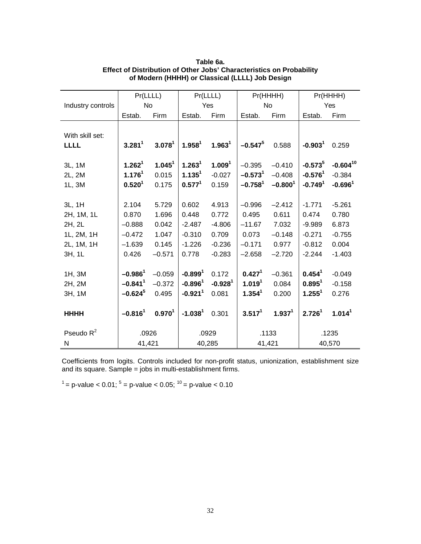|                   | Pr(LLLL)              |                    |                       | Pr(LLLL)           |                    | Pr(HHHH)           |                    | Pr(HHHH)           |
|-------------------|-----------------------|--------------------|-----------------------|--------------------|--------------------|--------------------|--------------------|--------------------|
| Industry controls | <b>No</b>             |                    |                       | Yes                |                    | No                 |                    | Yes                |
|                   | Estab.                | Firm               | Estab.                | Firm               | Estab.             | Firm               | Estab.             | Firm               |
|                   |                       |                    |                       |                    |                    |                    |                    |                    |
| With skill set:   |                       |                    |                       |                    |                    |                    |                    |                    |
| <b>LLLL</b>       | 3.281 <sup>1</sup>    | 3.078 <sup>1</sup> | 1.958 <sup>1</sup>    | 1.963 <sup>1</sup> | $-0.547^{5}$       | 0.588              | $-0.9031$          | 0.259              |
|                   |                       |                    |                       |                    |                    |                    |                    |                    |
| 3L, 1M            | 1.262 <sup>1</sup>    | 1.045 <sup>1</sup> | 1.263 <sup>1</sup>    | 1.009 <sup>1</sup> | $-0.395$           | $-0.410$           | $-0.573^{5}$       | $-0.604^{10}$      |
| 2L, 2M            | 1.176 <sup>1</sup>    | 0.015              | 1.135 <sup>1</sup>    | $-0.027$           | $-0.5731$          | $-0.408$           | $-0.5761$          | $-0.384$           |
| 1L, 3M            | 0.520 <sup>1</sup>    | 0.175              | 0.577 <sup>1</sup>    | 0.159              | $-0.7581$          | $-0.8001$          | $-0.7491$          | $-0.6961$          |
|                   |                       |                    |                       |                    |                    |                    |                    |                    |
| 3L, 1H            | 2.104                 | 5.729              | 0.602                 | 4.913              | $-0.996$           | $-2.412$           | $-1.771$           | $-5.261$           |
| 2H, 1M, 1L        | 0.870                 | 1.696              | 0.448                 | 0.772              | 0.495              | 0.611              | 0.474              | 0.780              |
| 2H, 2L            | $-0.888$              | 0.042              | $-2.487$              | $-4.806$           | $-11.67$           | 7.032              | $-9.989$           | 6.873              |
| 1L, 2M, 1H        | $-0.472$              | 1.047              | $-0.310$              | 0.709              | 0.073              | $-0.148$           | $-0.271$           | $-0.755$           |
| 2L, 1M, 1H        | $-1.639$              | 0.145              | $-1.226$              | $-0.236$           | $-0.171$           | 0.977              | $-0.812$           | 0.004              |
| 3H, 1L            | 0.426                 | $-0.571$           | 0.778                 | $-0.283$           | $-2.658$           | $-2.720$           | $-2.244$           | $-1.403$           |
|                   |                       |                    |                       |                    |                    |                    |                    |                    |
| 1H, 3M            | $-0.9861$             | $-0.059$           | $-0.8991$             | 0.172              | 0.427 <sup>1</sup> | $-0.361$           | 0.454 <sup>1</sup> | $-0.049$           |
| 2H, 2M            | $-0.841$ <sup>1</sup> | $-0.372$           | $-0.8961$             | $-0.9281$          | 1.019 <sup>1</sup> | 0.084              | $0.895^1$          | $-0.158$           |
| 3H, 1M            | $-0.624^{5}$          | 0.495              | $-0.921$ <sup>1</sup> | 0.081              | 1.354 <sup>1</sup> | 0.200              | $1.255^1$          | 0.276              |
|                   |                       |                    |                       |                    |                    |                    |                    |                    |
| <b>HHHH</b>       | $-0.816^1$            | $0.970^{1}$        | $-1.0381$             | 0.301              | $3.517^1$          | 1.937 <sup>1</sup> | 2.726 <sup>1</sup> | 1.014 <sup>1</sup> |
|                   |                       |                    |                       |                    |                    |                    |                    |                    |
| Pseudo $R^2$      |                       | .0926              |                       | .0929              |                    | .1133              |                    | .1235              |
| N                 | 41,421                |                    |                       | 40,285             |                    | 41,421             |                    | 40,570             |

## **Table 6a. Effect of Distribution of Other Jobs' Characteristics on Probability of Modern (HHHH) or Classical (LLLL) Job Design**

Coefficients from logits. Controls included for non-profit status, unionization, establishment size and its square. Sample = jobs in multi-establishment firms.

<sup>1</sup> = p-value < 0.01; <sup>5</sup> = p-value < 0.05; <sup>10</sup> = p-value < 0.10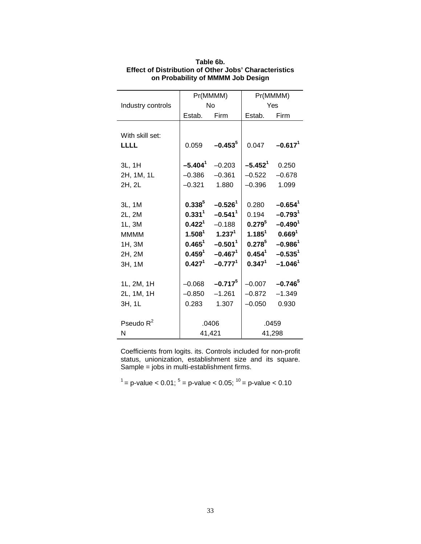|                   |                    | Pr(MMMM)              |             | Pr(MMMM)              |  |
|-------------------|--------------------|-----------------------|-------------|-----------------------|--|
| Industry controls |                    | <b>No</b>             | Yes         |                       |  |
|                   | Estab.             | Firm                  | Estab.      | Firm                  |  |
|                   |                    |                       |             |                       |  |
| With skill set:   |                    |                       |             |                       |  |
| <b>LLLL</b>       | 0.059              | $-0.453^{5}$          | 0.047       | $-0.6171$             |  |
|                   |                    |                       |             |                       |  |
| 3L, 1H            | $-5.4041$          | $-0.203$              | $-5.4521$   | 0.250                 |  |
| 2H, 1M, 1L        | $-0.386$           | $-0.361$              | $-0.522$    | $-0.678$              |  |
| 2H, 2L            | $-0.321$           | 1.880                 | $-0.396$    | 1.099                 |  |
|                   |                    |                       |             |                       |  |
| 3L, 1M            | $0.338^{5}$        | $-0.526$ <sup>1</sup> | 0.280       | $-0.654$ <sup>1</sup> |  |
| 2L, 2M            | $0.331^{1}$        | $-0.541$ <sup>1</sup> | 0.194       | $-0.793$ <sup>1</sup> |  |
| 1L, 3M            | 0.422 <sup>1</sup> | $-0.188$              | $0.279^{5}$ | $-0.4901$             |  |
| <b>MMMM</b>       | $1.508^1$          | $1.237^{1}$           | $1.185^{1}$ | 0.669 <sup>1</sup>    |  |
| 1H, 3M            | $0.465^{1}$        | $-0.501$ <sup>1</sup> | $0.278^{5}$ | $-0.986^1$            |  |
| 2H, 2M            | $0.459^{1}$        | $-0.467^1$            | $0.454^{1}$ | $-0.535$ <sup>1</sup> |  |
| 3H, 1M            | 0.427 <sup>1</sup> | $-0.7771$             | $0.347^{1}$ | $-1.046$ <sup>1</sup> |  |
|                   |                    |                       |             |                       |  |
| 1L, 2M, 1H        | $-0.068$           | $-0.717^{5}$          | $-0.007$    | $-0.746^{5}$          |  |
| 2L, 1M, 1H        | $-0.850$           | $-1.261$              | $-0.872$    | $-1.349$              |  |
| 3H, 1L            | 0.283              | 1.307                 | $-0.050$    | 0.930                 |  |
|                   |                    |                       |             |                       |  |
| Pseudo $R^2$      |                    | .0406                 |             | .0459                 |  |
| N                 |                    | 41,421                |             | 41,298                |  |

**Table 6b. Effect of Distribution of Other Jobs' Characteristics on Probability of MMMM Job Design**

Coefficients from logits. its. Controls included for non-profit status, unionization, establishment size and its square. Sample = jobs in multi-establishment firms.

 $1$ <sup>1</sup> = p-value < 0.01; <sup>5</sup> = p-value < 0.05;  $^{10}$  = p-value < 0.10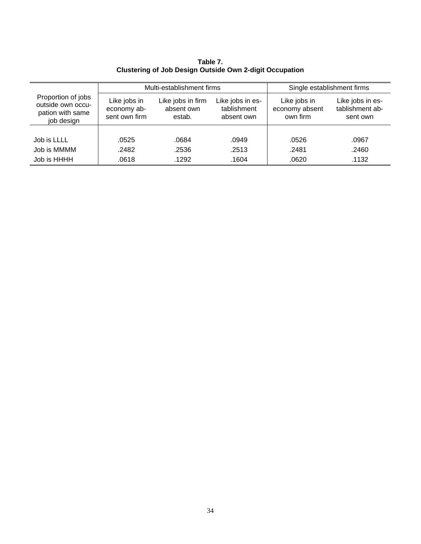Multi-establishment firms Single establishment firms Proportion of jobs outside own occupation with same job design Like jobs in economy absent own firm Like jobs in firm absent own estab. Like jobs in establishment absent own Like jobs in economy absent own firm Like jobs in establishment absent own Job is LLLL .0525 .0684 .0949 .0526 .0967 Job is MMMM .2482 .2536 .2513 .2481 .2460 Job is HHHH .0618 .1292 .1604 .0620 .1132

**Table 7. Clustering of Job Design Outside Own 2-digit Occupation**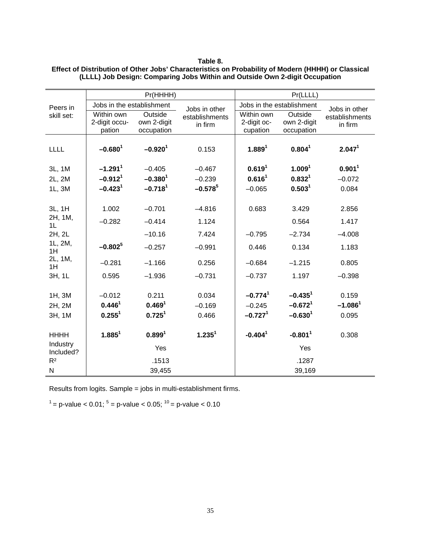|                       |                           | Pr(HHHH)              |                    | Pr(LLLL)              |                           |                    |  |
|-----------------------|---------------------------|-----------------------|--------------------|-----------------------|---------------------------|--------------------|--|
| Peers in              | Jobs in the establishment |                       | Jobs in other      |                       | Jobs in the establishment | Jobs in other      |  |
| skill set:            | Within own                | Outside               | establishments     | Within own            | Outside                   | establishments     |  |
|                       | 2-digit occu-             | own 2-digit           | in firm            | 2-digit oc-           | own 2-digit               | in firm            |  |
|                       | pation                    | occupation            |                    | cupation              | occupation                |                    |  |
| LLLL                  | $-0.680^1$                | $-0.920$ <sup>1</sup> | 0.153              | 1.889 <sup>1</sup>    | 0.804 <sup>1</sup>        | 2.047 <sup>1</sup> |  |
| 3L, 1M                | $-1.291$ <sup>1</sup>     | $-0.405$              | $-0.467$           | 0.619 <sup>1</sup>    | 1.009 <sup>1</sup>        | 0.901 <sup>1</sup> |  |
| 2L, 2M                | $-0.912$ <sup>1</sup>     | $-0.3801$             | $-0.239$           | 0.616 <sup>1</sup>    | 0.832 <sup>1</sup>        | $-0.072$           |  |
| 1L, 3M                | $-0.4231$                 | $-0.7181$             | $-0.578^{5}$       | $-0.065$              | 0.503 <sup>1</sup>        | 0.084              |  |
|                       |                           |                       |                    |                       |                           |                    |  |
| 3L, 1H                | 1.002                     | $-0.701$              | $-4.816$           | 0.683                 | 3.429                     | 2.856              |  |
| 2H, 1M,<br>1L         | $-0.282$                  | $-0.414$              | 1.124              |                       | 0.564                     | 1.417              |  |
| 2H, 2L                |                           | $-10.16$              | 7.424              | $-0.795$              | $-2.734$                  | $-4.008$           |  |
| 1L, 2M,<br>1H         | $-0.802^{5}$              | $-0.257$              | $-0.991$           | 0.446                 | 0.134                     | 1.183              |  |
| 2L, 1M,<br>1H         | $-0.281$                  | $-1.166$              | 0.256              | $-0.684$              | $-1.215$                  | 0.805              |  |
| 3H, 1L                | 0.595                     | $-1.936$              | $-0.731$           | $-0.737$              | 1.197                     | $-0.398$           |  |
|                       |                           |                       |                    |                       |                           |                    |  |
| 1H, 3M                | $-0.012$                  | 0.211                 | 0.034              | $-0.774$ <sup>1</sup> | $-0.435$ <sup>1</sup>     | 0.159              |  |
| 2H, 2M                | 0.446 <sup>1</sup>        | 0.469 <sup>1</sup>    | $-0.169$           | $-0.245$              | $-0.6721$                 | $-1.0861$          |  |
| 3H, 1M                | $0.255^1$                 | 0.725 <sup>1</sup>    | 0.466              | $-0.7271$             | $-0.6301$                 | 0.095              |  |
|                       | $1.885^1$                 | 0.899 <sup>1</sup>    | 1.235 <sup>1</sup> | $-0.4041$             | $-0.8011$                 |                    |  |
| <b>HHHH</b>           |                           |                       |                    |                       |                           | 0.308              |  |
| Industry<br>Included? |                           | Yes                   |                    |                       | Yes                       |                    |  |
| R <sup>2</sup>        |                           | .1513                 |                    |                       | .1287                     |                    |  |
| N                     |                           | 39,455                |                    |                       | 39,169                    |                    |  |

#### **Table 8. Effect of Distribution of Other Jobs' Characteristics on Probability of Modern (HHHH) or Classical (LLLL) Job Design: Comparing Jobs Within and Outside Own 2-digit Occupation**

Results from logits. Sample = jobs in multi-establishment firms.

 $1$ <sup>1</sup> = p-value < 0.01; <sup>5</sup> = p-value < 0.05;  $10$ <sup>10</sup> = p-value < 0.10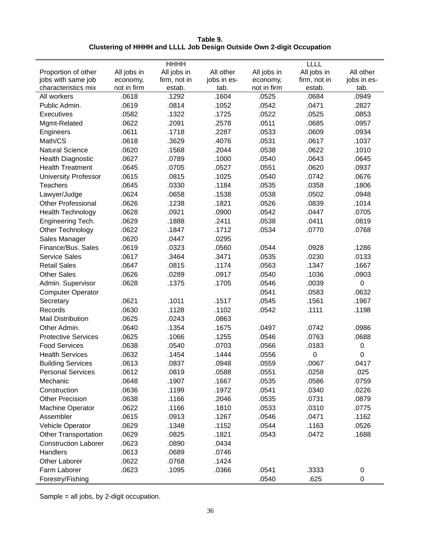| Table 9.                                                              |
|-----------------------------------------------------------------------|
| Clustering of HHHH and LLLL Job Design Outside Own 2-digit Occupation |

|                             |             | <b>HHHH</b>  |             |             | LLLL         |             |
|-----------------------------|-------------|--------------|-------------|-------------|--------------|-------------|
| Proportion of other         | All jobs in | All jobs in  | All other   | All jobs in | All jobs in  | All other   |
| jobs with same job          | economy,    | firm, not in | jobs in es- | economy,    | firm, not in | jobs in es- |
| characteristics mix         | not in firm | estab.       | tab.        | not in firm | estab.       | tab.        |
| All workers                 | .0618       | .1292        | .1604       | .0525       | .0684        | .0949       |
| Public Admin.               | .0619       | .0814        | .1052       | .0542       | .0471        | .2827       |
| <b>Executives</b>           | .0582       | .1322        | .1725       | .0522       | .0525        | .0853       |
| Mgmt-Related                | .0622       | .2091        | .2578       | .0511       | .0685        | .0957       |
| Engineers                   | .0611       | .1718        | .2287       | .0533       | .0609        | .0934       |
| Math/CS                     | .0618       | .3629        | .4076       | .0531       | .0617        | .1037       |
| <b>Natural Science</b>      | .0620       | .1568        | .2044       | .0538       | .0622        | .1010       |
| <b>Health Diagnostic</b>    | .0627       | .0789        | .1000       | .0540       | .0643        | .0645       |
| <b>Health Treatment</b>     | .0645       | .0705        | .0527       | .0551       | .0620        | .0937       |
| <b>University Professor</b> | .0615       | .0815        | .1025       | .0540       | .0742        | .0676       |
| <b>Teachers</b>             | .0645       | .0330        | .1184       | .0535       | .0358        | .1806       |
| Lawyer/Judge                | .0624       | .0658        | .1538       | .0538       | .0502        | .0948       |
| <b>Other Professional</b>   | .0626       | .1238        | .1821       | .0526       | .0839        | .1014       |
| <b>Health Technology</b>    | .0628       | .0921        | .0900       | .0542       | .0447        | .0705       |
| Engineering Tech.           | .0629       | .1888        | .2411       | .0538       | .0411        | .0819       |
| Other Technology            | .0622       | .1847        | .1712       | .0534       | .0770        | .0768       |
| Sales Manager               | .0620       | .0447        | .0295       |             |              |             |
| Finance/Bus, Sales          | .0619       | .0323        | .0560       | .0544       | .0928        | .1286       |
| Service Sales               | .0617       | .3464        | .3471       | .0535       | .0230        | .0133       |
| <b>Retail Sales</b>         | .0647       | .0815        | .1174       | .0563       | .1347        | .1667       |
| <b>Other Sales</b>          | .0626       | .0289        | .0917       | .0540       | .1036        | .0903       |
| Admin. Supervisor           | .0628       | .1375        | .1705       | .0546       | .0039        | $\pmb{0}$   |
| <b>Computer Operator</b>    |             |              |             | .0541       | .0583        | .0632       |
| Secretary                   | .0621       | .1011        | .1517       | .0545       | .1561        | .1967       |
| Records                     | .0630       | .1128        | .1102       | .0542       | .1111        | .1198       |
| <b>Mail Distribution</b>    | .0625       | .0243        | .0863       |             |              |             |
| Other Admin.                | .0640       | .1354        | .1675       | .0497       | .0742        | .0986       |
| <b>Protective Services</b>  | .0625       | .1066        | .1255       | .0546       | .0763        | .0688       |
| <b>Food Services</b>        | .0638       | .0540        | .0703       | .0566       | .0183        | $\pmb{0}$   |
| <b>Health Services</b>      | .0632       | .1454        | .1444       | .0556       | 0            | 0           |
| <b>Building Services</b>    | .0613       | .0837        | .0948       | .0559       | 0067         | .0417       |
| <b>Personal Services</b>    | .0612       | .0819        | .0588       | .0551       | .0258        | .025        |
| Mechanic                    | .0648       | .1907        | .1667       | .0535       | .0586        | .0759       |
| Construction                | .0636       | .1199        | .1972       | .0541       | .0340        | .0226       |
| <b>Other Precision</b>      | .0638       | .1166        | .2046       | .0535       | .0731        | .0879       |
| Machine Operator            | .0622       | .1166        | .1810       | .0533       | .0310        | .0775       |
| Assembler                   | .0615       | .0913        | .1267       | .0546       | .0471        | .1162       |
| Vehicle Operator            | .0629       | .1348        | .1152       | .0544       | .1163        | .0526       |
| <b>Other Transportation</b> | .0629       | .0825        | .1821       | .0543       | .0472        | .1688       |
| <b>Construction Laborer</b> | .0623       | .0890        | .0434       |             |              |             |
| Handlers                    | .0613       | .0689        | .0746       |             |              |             |
| Other Laborer               | .0622       | .0768        | .1424       |             |              |             |
| Farm Laborer                | .0623       | .1095        | .0366       | .0541       | .3333        | 0           |
| Forestry/Fishing            |             |              |             | .0540       | .625         | $\pmb{0}$   |

Sample = all jobs, by 2-digit occupation.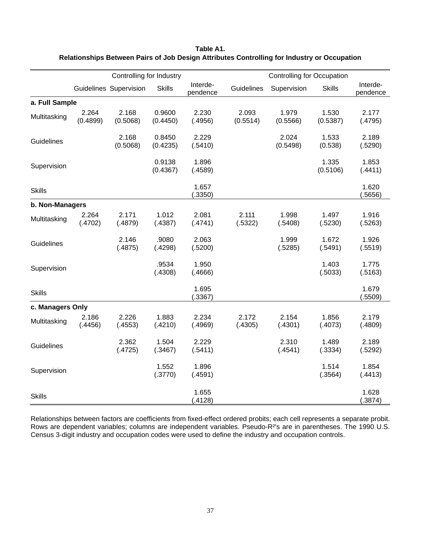|                  |                   | Controlling for Industry |                    |                      |                   | <b>Controlling for Occupation</b> |                   |                      |
|------------------|-------------------|--------------------------|--------------------|----------------------|-------------------|-----------------------------------|-------------------|----------------------|
|                  |                   | Guidelines Supervision   | <b>Skills</b>      | Interde-<br>pendence | Guidelines        | Supervision                       | <b>Skills</b>     | Interde-<br>pendence |
| a. Full Sample   |                   |                          |                    |                      |                   |                                   |                   |                      |
| Multitasking     | 2.264<br>(0.4899) | 2.168<br>(0.5068)        | 0.9600<br>(0.4450) | 2.230<br>(.4956)     | 2.093<br>(0.5514) | 1.979<br>(0.5566)                 | 1.530<br>(0.5387) | 2.177<br>(.4795)     |
| Guidelines       |                   | 2.168<br>(0.5068)        | 0.8450<br>(0.4235) | 2.229<br>(.5410)     |                   | 2.024<br>(0.5498)                 | 1.533<br>(0.538)  | 2.189<br>(.5290)     |
| Supervision      |                   |                          | 0.9138<br>(0.4367) | 1.896<br>(.4589)     |                   |                                   | 1.335<br>(0.5106) | 1.853<br>(.4411)     |
| <b>Skills</b>    |                   |                          |                    | 1.657<br>(.3350)     |                   |                                   |                   | 1.620<br>(.5656)     |
| b. Non-Managers  |                   |                          |                    |                      |                   |                                   |                   |                      |
| Multitasking     | 2.264<br>(.4702)  | 2.171<br>(.4879)         | 1.012<br>(.4387)   | 2.081<br>(.4741)     | 2.111<br>(.5322)  | 1.998<br>(.5408)                  | 1.497<br>(.5230)  | 1.916<br>(.5263)     |
| Guidelines       |                   | 2.146<br>(.4875)         | .9080<br>(.4298)   | 2.063<br>(.5200)     |                   | 1.999<br>(.5285)                  | 1.672<br>(.5491)  | 1.926<br>(.5519)     |
| Supervision      |                   |                          | .9534<br>(.4308)   | 1.950<br>(.4666)     |                   |                                   | 1.403<br>(.5033)  | 1.775<br>(.5163)     |
| <b>Skills</b>    |                   |                          |                    | 1.695<br>(.3367)     |                   |                                   |                   | 1.679<br>(.5509)     |
| c. Managers Only |                   |                          |                    |                      |                   |                                   |                   |                      |
| Multitasking     | 2.186<br>(.4456)  | 2.226<br>(.4553)         | 1.883<br>(.4210)   | 2.234<br>(.4969)     | 2.172<br>(.4305)  | 2.154<br>(.4301)                  | 1.856<br>(.4073)  | 2.179<br>(.4809)     |
| Guidelines       |                   | 2.362<br>(.4725)         | 1.504<br>(.3467)   | 2.229<br>(.5411)     |                   | 2.310<br>(.4541)                  | 1.489<br>(.3334)  | 2.189<br>(.5292)     |
| Supervision      |                   |                          | 1.552<br>(.3770)   | 1.896<br>(.4591)     |                   |                                   | 1.514<br>(.3564)  | 1.854<br>(.4413)     |
| <b>Skills</b>    |                   |                          |                    | 1.655<br>(.4128)     |                   |                                   |                   | 1.628<br>(.3874)     |

**Table A1. Relationships Between Pairs of Job Design Attributes Controlling for Industry or Occupation**

Relationships between factors are coefficients from fixed-effect ordered probits; each cell represents a separate probit. Rows are dependent variables; columns are independent variables. Pseudo-R²'s are in parentheses. The 1990 U.S. Census 3-digit industry and occupation codes were used to define the industry and occupation controls.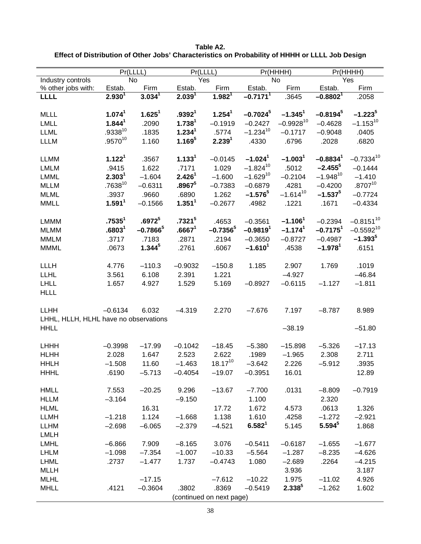| Pr(LLLL)                              |                    |                    | Pr(LLLL)           |                          | Pr(HHHH)               |                         | Pr(HHHH)               |                |
|---------------------------------------|--------------------|--------------------|--------------------|--------------------------|------------------------|-------------------------|------------------------|----------------|
| Industry controls                     |                    | <b>No</b>          |                    | Yes                      |                        | <b>No</b>               |                        | Yes            |
| % other jobs with:                    | Estab.             | Firm               | Estab.             | Firm                     | Estab.                 | Firm                    | Estab.                 | Firm           |
| LLLL                                  | $2.930^{1}$        | $3.034^{1}$        | $2.039^{1}$        | $1.982^{1}$              | $-0.7171$ <sup>1</sup> | .3645                   | $-0.8802^{1}$          | .2058          |
|                                       |                    |                    |                    |                          |                        |                         |                        |                |
| <b>MLLL</b>                           | 1.074 <sup>1</sup> | 1.625 <sup>1</sup> | .9392 <sup>1</sup> | 1.254 <sup>1</sup>       | $-0.7024$ <sup>5</sup> | $-1.345$ <sup>1</sup>   | $-0.8194^{5}$          | $-1.2235$      |
| <b>LMLL</b>                           | 1.844 <sup>1</sup> | .2090              | 1.738 <sup>1</sup> | $-0.1919$                | $-0.2427$              | $-0.9928$ <sup>10</sup> | $-0.4628$              | $-1.153^{10}$  |
| <b>LLML</b>                           | $.9338^{10}$       | .1835              | 1.234 <sup>1</sup> | .5774                    | $-1.234^{10}$          | $-0.1717$               | $-0.9048$              | .0405          |
| <b>LLLM</b>                           | $.9570^{10}$       | 1.160              | $1.169^{5}$        | 2.239 <sup>1</sup>       | .4330                  | .6796                   | .2028                  | .6820          |
| <b>LLMM</b>                           | 1.122 <sup>1</sup> | .3567              | 1.133 <sup>1</sup> | $-0.0145$                | $-1.024$ <sup>1</sup>  | $-1.0031$               | $-0.8834^1$            | $-0.7334^{10}$ |
| <b>LMLM</b>                           | .9415              | 1.622              | .7171              | 1.029                    | $-1.824$ <sup>10</sup> | .5012                   | $-2.455$ <sup>5</sup>  | $-0.1444$      |
| <b>LMML</b>                           | 2.303 <sup>1</sup> | $-1.604$           | 2.426 <sup>1</sup> | $-1.600$                 | $-1.629$ <sup>10</sup> | $-0.2104$               | $-1.948$ <sup>10</sup> | $-1.410$       |
| <b>MLLM</b>                           | $.7638^{10}$       | $-0.6311$          | $.8967^5$          | $-0.7383$                | $-0.6879$              | .4281                   | $-0.4200$              | $.8707^{10}$   |
| <b>MLML</b>                           | .3937              | .9660              | .6890              | 1.262                    | $-1.576^{5}$           | $-1.614^{10}$           | $-1.537^{5}$           | $-0.7724$      |
| <b>MMLL</b>                           | 1.591 <sup>1</sup> | $-0.1566$          | 1.351 <sup>1</sup> | $-0.2677$                | .4982                  | .1221                   | .1671                  | $-0.4334$      |
|                                       |                    |                    |                    |                          |                        |                         |                        |                |
| <b>LMMM</b>                           | .7535 <sup>1</sup> | .6972 <sup>5</sup> | .7321 <sup>5</sup> | .4653                    | $-0.3561$              | $-1.1061$               | $-0.2394$              | $-0.8151^{10}$ |
| <b>MLMM</b>                           | .6803 <sup>1</sup> | $-0.7866^5$        | .6667 <sup>1</sup> | $-0.7356^{5}$            | $-0.9819$ <sup>1</sup> | $-1.174$ <sup>1</sup>   | $-0.7175$ <sup>1</sup> | $-0.5592^{10}$ |
| <b>MMLM</b>                           | .3717              | .7183              | .2871              | .2194                    | $-0.3650$              | $-0.8727$               | $-0.4987$              | $-1.393^{5}$   |
| <b>MMML</b>                           | .0673              | $1.344^{5}$        | .2761              | .6067                    | $-1.6101$              | .4538                   | $-1.9781$              | .6151          |
|                                       |                    |                    |                    |                          |                        |                         |                        |                |
| LLLH                                  | 4.776              | $-110.3$           | $-0.9032$          | $-150.8$                 | 1.185                  | 2.907                   | 1.769                  | .1019          |
| <b>LLHL</b>                           | 3.561              | 6.108              | 2.391              | 1.221                    |                        | $-4.927$                |                        | $-46.84$       |
| <b>LHLL</b>                           | 1.657              | 4.927              | 1.529              | 5.169                    | $-0.8927$              | $-0.6115$               | $-1.127$               | $-1.811$       |
| <b>HLLL</b>                           |                    |                    |                    |                          |                        |                         |                        |                |
|                                       |                    |                    |                    |                          |                        |                         |                        |                |
| <b>LLHH</b>                           | $-0.6134$          | 6.032              | $-4.319$           | 2.270                    | $-7.676$               | 7.197                   | $-8.787$               | 8.989          |
| LHHL, HLLH, HLHL have no observations |                    |                    |                    |                          |                        |                         |                        |                |
| <b>HHLL</b>                           |                    |                    |                    |                          |                        | $-38.19$                |                        | $-51.80$       |
| <b>LHHH</b>                           | $-0.3998$          | $-17.99$           | $-0.1042$          | $-18.45$                 | $-5.380$               | $-15.898$               | $-5.326$               | $-17.13$       |
| <b>HLHH</b>                           | 2.028              | 1.647              | 2.523              | 2.622                    | .1989                  | $-1.965$                | 2.308                  | 2.711          |
| <b>HHLH</b>                           | $-1.508$           | 11.60              | $-1.463$           | $18.17^{10}$             | $-3.642$               | 2.226                   | $-5.912$               | .3935          |
| <b>HHHL</b>                           | .6190              | $-5.713$           | $-0.4054$          | $-19.07$                 | $-0.3951$              | 16.01                   |                        | 12.89          |
|                                       |                    |                    |                    |                          |                        |                         |                        |                |
| <b>HMLL</b>                           | 7.553              | $-20.25$           | 9.296              | $-13.67$                 | $-7.700$               | .0131                   | $-8.809$               | $-0.7919$      |
| <b>HLLM</b>                           | $-3.164$           |                    | $-9.150$           |                          | 1.100                  |                         | 2.320                  |                |
| <b>HLML</b>                           |                    | 16.31              |                    | 17.72                    | 1.672                  | 4.573                   | .0613                  | 1.326          |
| <b>LLMH</b>                           | $-1.218$           | 1.124              | $-1.668$           | 1.138                    | 1.610                  | .4258                   | $-1.272$               | $-2.921$       |
| <b>LLHM</b>                           | $-2.698$           | $-6.065$           | $-2.379$           | $-4.521$                 | $6.582^{1}$            | 5.145                   | $5.594^{5}$            | 1.868          |
| <b>LMLH</b>                           |                    |                    |                    |                          |                        |                         |                        |                |
| <b>LMHL</b>                           | $-6.866$           | 7.909              | $-8.165$           | 3.076                    | $-0.5411$              | $-0.6187$               | $-1.655$               | $-1.677$       |
| <b>LHLM</b>                           | $-1.098$           | $-7.354$           | $-1.007$           | $-10.33$                 | $-5.564$               | $-1.287$                | $-8.235$               | $-4.626$       |
| LHML                                  | .2737              | $-1.477$           | 1.737              | $-0.4743$                | 1.080                  | $-2.689$                | .2264                  | $-4.215$       |
| <b>MLLH</b>                           |                    |                    |                    |                          |                        | 3.936                   |                        | 3.187          |
| <b>MLHL</b>                           |                    | $-17.15$           |                    | $-7.612$                 | $-10.22$               | 1.975                   | $-11.02$               | 4.926          |
| <b>MHLL</b>                           | .4121              | $-0.3604$          | .3802              | .8369                    | $-0.5419$              | $2.338^{5}$             | $-1.262$               | 1.602          |
|                                       |                    |                    |                    | (continued on next page) |                        |                         |                        |                |

**Table A2. Effect of Distribution of Other Jobs' Characteristics on Probability of HHHH or LLLL Job Design**